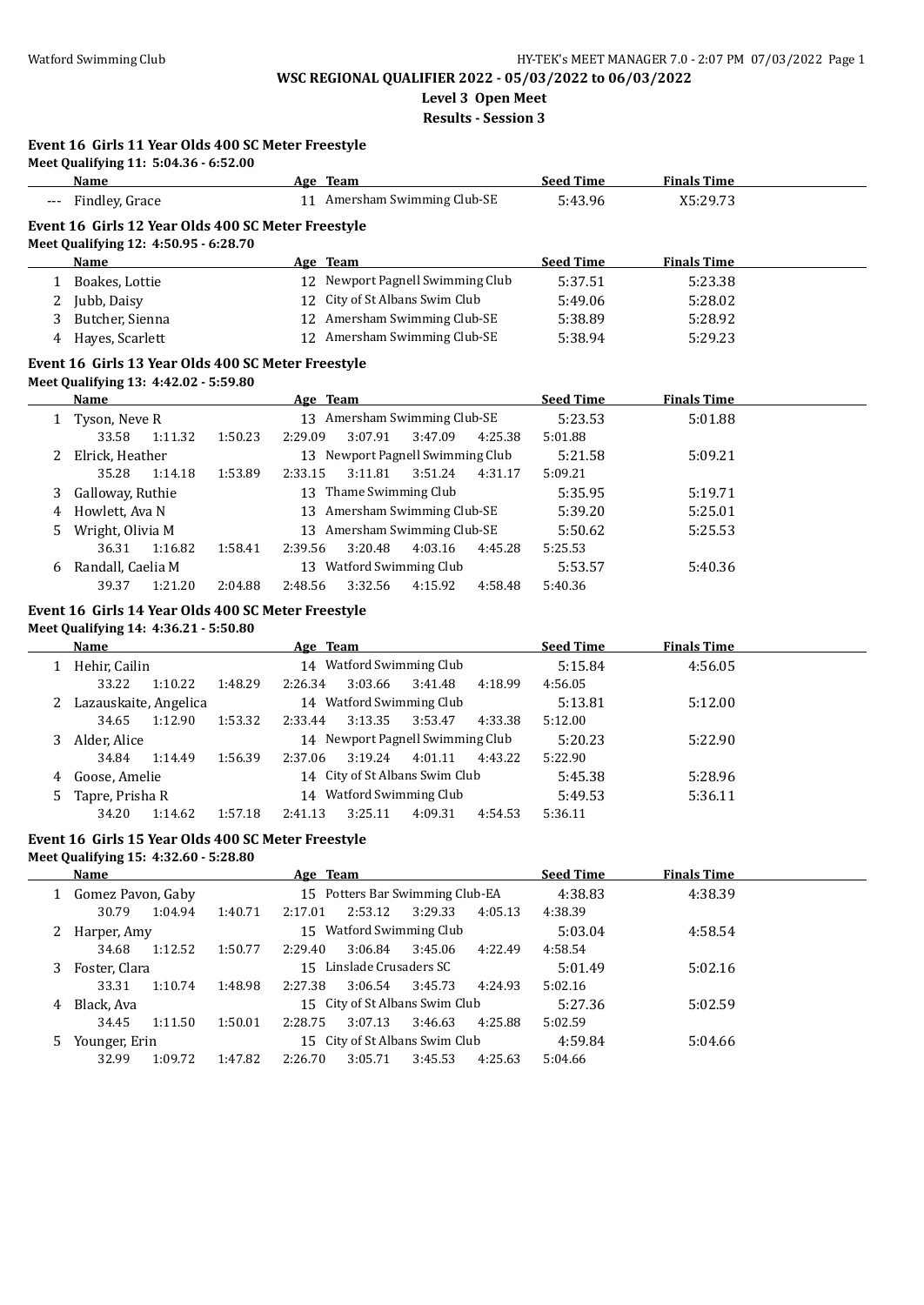**Level 3 Open Meet**

**Results - Session 3**

#### **Event 16 Girls 11 Year Olds 400 SC Meter Freestyle**

| Meet Qualifying 11: 5:04.36 - 6:52.00 |                              |                  |                    |
|---------------------------------------|------------------------------|------------------|--------------------|
| Name                                  | Age Team                     | <b>Seed Time</b> | <b>Finals Time</b> |
| --- Findley, Grace                    | 11 Amersham Swimming Club-SE | 5:43.96          | X5:29.73           |

### **Event 16 Girls 12 Year Olds 400 SC Meter Freestyle**

**Meet Qualifying 12: 4:50.95 - 6:28.70**

|   | <b>Name</b>     | Age Team                         | <b>Seed Time</b> | <b>Finals Time</b> |  |
|---|-----------------|----------------------------------|------------------|--------------------|--|
|   | Boakes, Lottie  | 12 Newport Pagnell Swimming Club | 5:37.51          | 5:23.38            |  |
| ∸ | Jubb, Daisy     | 12 City of St Albans Swim Club   | 5:49.06          | 5:28.02            |  |
|   | Butcher, Sienna | 12 Amersham Swimming Club-SE     | 5:38.89          | 5:28.92            |  |
| 4 | Hayes, Scarlett | 12 Amersham Swimming Club-SE     | 5:38.94          | 5:29.23            |  |

#### **Event 16 Girls 13 Year Olds 400 SC Meter Freestyle**

**Meet Qualifying 13: 4:42.02 - 5:59.80**

|    | <b>Name</b>       |                    |                    | Age Team                      |         |         | <b>Seed Time</b> | <b>Finals Time</b> |  |
|----|-------------------|--------------------|--------------------|-------------------------------|---------|---------|------------------|--------------------|--|
|    | 1 Tyson, Neve R   |                    | 13                 | Amersham Swimming Club-SE     |         |         | 5:23.53          | 5:01.88            |  |
|    | 33.58             | 1:11.32            | 2:29.09<br>1:50.23 | 3:07.91                       | 3:47.09 | 4:25.38 | 5:01.88          |                    |  |
| 2  | Elrick, Heather   |                    | 13                 | Newport Pagnell Swimming Club |         |         | 5:21.58          | 5:09.21            |  |
|    | 35.28             | 1:14.18            | 1:53.89<br>2:33.15 | 3:11.81                       | 3:51.24 | 4:31.17 | 5:09.21          |                    |  |
| 3. | Galloway, Ruthie  |                    | 13                 | Thame Swimming Club           |         |         | 5:35.95          | 5:19.71            |  |
| 4  | Howlett, Ava N    |                    | 13                 | Amersham Swimming Club-SE     |         |         | 5:39.20          | 5:25.01            |  |
| 5  | Wright, Olivia M  |                    | 13                 | Amersham Swimming Club-SE     |         |         | 5:50.62          | 5:25.53            |  |
|    | 36.31             | 1:16.82<br>1:58.41 | 2:39.56            | 3:20.48                       | 4:03.16 | 4:45.28 | 5:25.53          |                    |  |
| 6  | Randall, Caelia M |                    | 13                 | Watford Swimming Club         |         |         | 5:53.57          | 5:40.36            |  |
|    | 39.37             | 1:21.20            | 2:04.88<br>2:48.56 | 3:32.56                       | 4:15.92 | 4:58.48 | 5:40.36          |                    |  |

```
Event 16 Girls 14 Year Olds 400 SC Meter Freestyle
```
**Meet Qualifying 14: 4:36.21 - 5:50.80**

|    | Name                    |         |         | Age Team |         |                                  |         | <b>Seed Time</b> | <b>Finals Time</b> |  |
|----|-------------------------|---------|---------|----------|---------|----------------------------------|---------|------------------|--------------------|--|
|    | Hehir, Cailin           |         |         |          |         | 14 Watford Swimming Club         |         | 5:15.84          | 4:56.05            |  |
|    | 33.22                   | 1:10.22 | 1:48.29 | 2:26.34  | 3:03.66 | 3:41.48                          | 4:18.99 | 4:56.05          |                    |  |
|    | 2 Lazauskaite, Angelica |         |         |          |         | 14 Watford Swimming Club         |         | 5:13.81          | 5:12.00            |  |
|    | 34.65                   | 1:12.90 | 1:53.32 | 2:33.44  | 3:13.35 | 3:53.47                          | 4:33.38 | 5:12.00          |                    |  |
| 3. | Alder, Alice            |         |         |          |         | 14 Newport Pagnell Swimming Club |         | 5:20.23          | 5:22.90            |  |
|    | 34.84                   | 1:14.49 | 1:56.39 | 2:37.06  | 3:19.24 | 4:01.11                          | 4:43.22 | 5:22.90          |                    |  |
| 4  | Goose, Amelie           |         |         |          |         | 14 City of St Albans Swim Club   |         | 5:45.38          | 5:28.96            |  |
| 5. | Tapre, Prisha R         |         |         |          |         | 14 Watford Swimming Club         |         | 5:49.53          | 5:36.11            |  |
|    | 34.20                   | 1:14.62 | 1:57.18 | 2:41.13  | 3:25.11 | 4:09.31                          | 4:54.53 | 5:36.11          |                    |  |

#### **Event 16 Girls 15 Year Olds 400 SC Meter Freestyle**

**Meet Qualifying 15: 4:32.60 - 5:28.80**

|    | Name                |         |         | Age Team |                                 |         |         | <b>Seed Time</b> | <b>Finals Time</b> |  |
|----|---------------------|---------|---------|----------|---------------------------------|---------|---------|------------------|--------------------|--|
|    | 1 Gomez Pavon, Gaby |         |         |          | 15 Potters Bar Swimming Club-EA |         |         | 4:38.83          | 4:38.39            |  |
|    | 30.79               | 1:04.94 | 1:40.71 | 2:17.01  | 2:53.12                         | 3:29.33 | 4:05.13 | 4:38.39          |                    |  |
| 2  | Harper, Amy         |         |         |          | 15 Watford Swimming Club        |         |         | 5:03.04          | 4:58.54            |  |
|    | 34.68               | 1:12.52 | 1:50.77 | 2:29.40  | 3:06.84                         | 3:45.06 | 4:22.49 | 4:58.54          |                    |  |
| 3. | Foster, Clara       |         |         |          | 15 Linslade Crusaders SC        |         |         | 5:01.49          | 5:02.16            |  |
|    | 33.31               | 1:10.74 | 1:48.98 | 2:27.38  | 3:06.54                         | 3:45.73 | 4:24.93 | 5:02.16          |                    |  |
| 4  | Black, Ava          |         |         |          | 15 City of St Albans Swim Club  |         |         | 5:27.36          | 5:02.59            |  |
|    | 34.45               | 1:11.50 | 1:50.01 | 2:28.75  | 3:07.13                         | 3:46.63 | 4:25.88 | 5:02.59          |                    |  |
| 5. | Younger, Erin       |         |         |          | 15 City of St Albans Swim Club  |         |         | 4:59.84          | 5:04.66            |  |
|    | 32.99               | 1:09.72 | 1:47.82 | 2:26.70  | 3:05.71                         | 3:45.53 | 4:25.63 | 5:04.66          |                    |  |
|    |                     |         |         |          |                                 |         |         |                  |                    |  |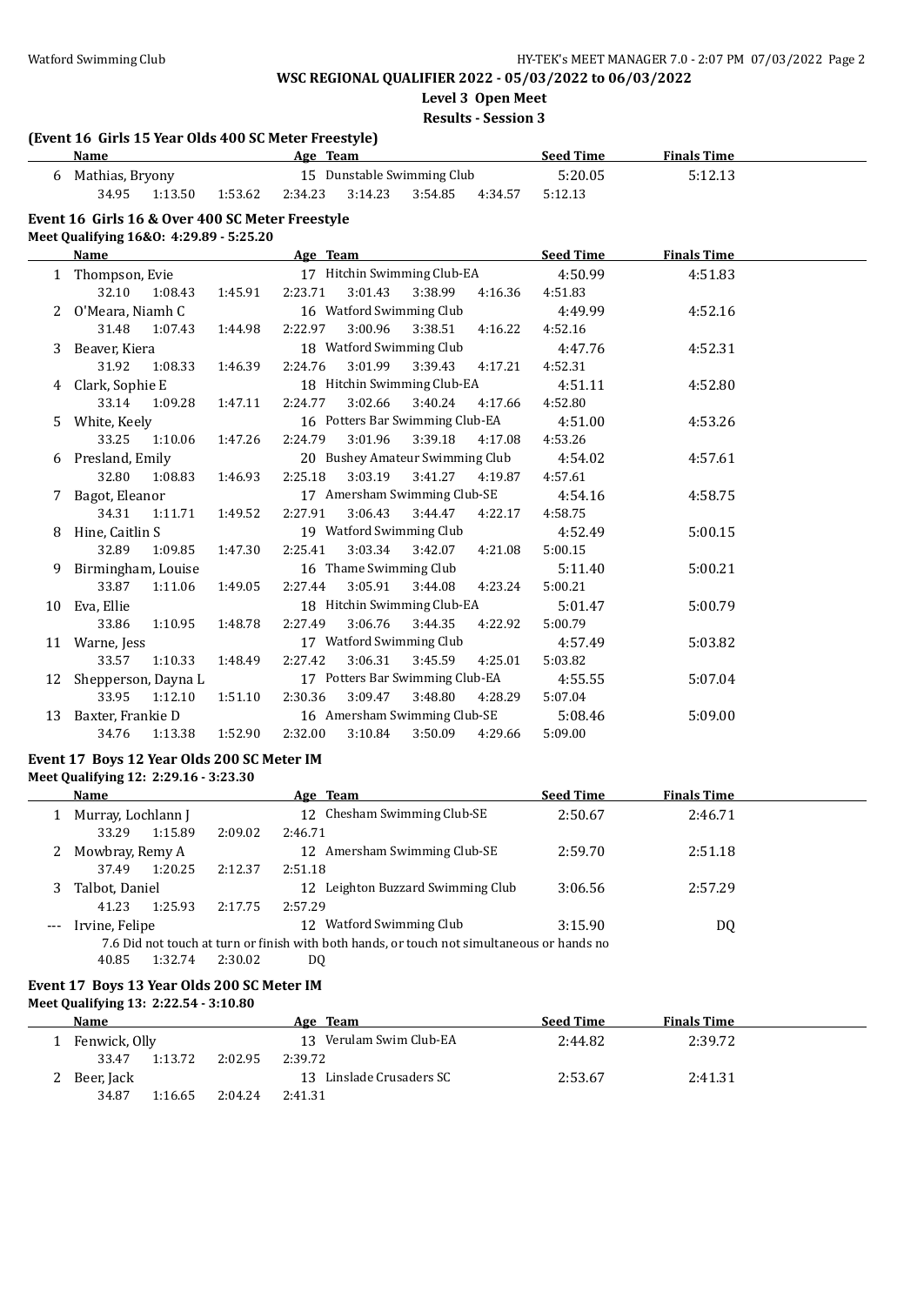**Level 3 Open Meet**

**Results - Session 3**

#### **(Event 16 Girls 15 Year Olds 400 SC Meter Freestyle)**

| Name            |         |         | Age Team |                            |         |         | <b>Seed Time</b> | <b>Finals Time</b> |  |
|-----------------|---------|---------|----------|----------------------------|---------|---------|------------------|--------------------|--|
| Mathias, Bryony |         |         |          | 15 Dunstable Swimming Club |         |         | 5:20.05          | 5:12.13            |  |
| 34.95           | 1:13.50 | 1:53.62 | 2:34.23  | 3:14.23                    | 3:54.85 | 4:34.57 | 5:12.13          |                    |  |

#### **Event 16 Girls 16 & Over 400 SC Meter Freestyle**

**Meet Qualifying 16&O: 4:29.89 - 5:25.20**

|    | Name                |               |         | Age Team |         |                                 |                     | <b>Seed Time</b> | <b>Finals Time</b> |  |
|----|---------------------|---------------|---------|----------|---------|---------------------------------|---------------------|------------------|--------------------|--|
|    | 1 Thompson, Evie    |               |         |          |         | 17 Hitchin Swimming Club-EA     |                     | 4:50.99          | 4:51.83            |  |
|    | 32.10               | 1:08.43       | 1:45.91 | 2:23.71  | 3:01.43 | 3:38.99                         | 4:16.36             | 4:51.83          |                    |  |
| 2  | 0'Meara, Niamh C    |               |         |          |         | 16 Watford Swimming Club        |                     | 4:49.99          | 4:52.16            |  |
|    | 31.48               | 1:07.43       | 1:44.98 | 2:22.97  | 3:00.96 |                                 | $3:38.51$ $4:16.22$ | 4:52.16          |                    |  |
| 3  | Beaver, Kiera       |               |         |          |         | 18 Watford Swimming Club        |                     | 4:47.76          | 4:52.31            |  |
|    | 31.92               | 1:08.33       | 1:46.39 | 2:24.76  | 3:01.99 | 3:39.43 4:17.21                 |                     | 4:52.31          |                    |  |
| 4  | Clark, Sophie E     |               |         |          |         | 18 Hitchin Swimming Club-EA     |                     | 4:51.11          | 4:52.80            |  |
|    |                     | 33.14 1:09.28 | 1:47.11 | 2:24.77  | 3:02.66 |                                 | 3:40.24 4:17.66     | 4:52.80          |                    |  |
| 5. | White, Keely        |               |         |          |         | 16 Potters Bar Swimming Club-EA |                     | 4:51.00          | 4:53.26            |  |
|    |                     | 33.25 1:10.06 | 1:47.26 | 2:24.79  | 3:01.96 | 3:39.18                         | 4:17.08             | 4:53.26          |                    |  |
| 6  | Presland, Emily     |               |         |          |         | 20 Bushey Amateur Swimming Club |                     | 4:54.02          | 4:57.61            |  |
|    | 32.80               | 1:08.83       | 1:46.93 | 2:25.18  |         | 3:03.19 3:41.27 4:19.87         |                     | 4:57.61          |                    |  |
| 7  | Bagot, Eleanor      |               |         |          |         | 17 Amersham Swimming Club-SE    |                     | 4:54.16          | 4:58.75            |  |
|    | 34.31               | 1:11.71       | 1:49.52 | 2:27.91  | 3:06.43 | 3:44.47                         | 4:22.17             | 4:58.75          |                    |  |
|    | Hine, Caitlin S     |               |         |          |         | 19 Watford Swimming Club        |                     | 4:52.49          | 5:00.15            |  |
|    | 32.89               | 1:09.85       | 1:47.30 | 2:25.41  |         | 3:03.34 3:42.07 4:21.08         |                     | 5:00.15          |                    |  |
| 9  | Birmingham, Louise  |               |         |          |         | 16 Thame Swimming Club          |                     | 5:11.40          | 5:00.21            |  |
|    | 33.87               | 1:11.06       | 1:49.05 | 2:27.44  | 3:05.91 | 3:44.08                         | 4:23.24             | 5:00.21          |                    |  |
| 10 | Eva, Ellie          |               |         |          |         | 18 Hitchin Swimming Club-EA     |                     | 5:01.47          | 5:00.79            |  |
|    | 33.86               | 1:10.95       | 1:48.78 | 2:27.49  | 3:06.76 | 3:44.35                         | 4:22.92             | 5:00.79          |                    |  |
| 11 | Warne, Jess         |               |         |          |         | 17 Watford Swimming Club        |                     | 4:57.49          | 5:03.82            |  |
|    | 33.57               | 1:10.33       | 1:48.49 | 2:27.42  | 3:06.31 | 3:45.59                         | 4:25.01             | 5:03.82          |                    |  |
| 12 | Shepperson, Dayna L |               |         |          |         | 17 Potters Bar Swimming Club-EA |                     | 4:55.55          | 5:07.04            |  |
|    | 33.95               | 1:12.10       | 1:51.10 | 2:30.36  | 3:09.47 | 3:48.80                         | 4:28.29             | 5:07.04          |                    |  |
| 13 | Baxter, Frankie D   |               |         |          |         | 16 Amersham Swimming Club-SE    |                     | 5:08.46          | 5:09.00            |  |
|    | 34.76               | 1:13.38       | 1:52.90 | 2:32.00  | 3:10.84 | 3:50.09                         | 4:29.66             | 5:09.00          |                    |  |

#### **Event 17 Boys 12 Year Olds 200 SC Meter IM Meet Qualifying 12: 2:29.16 - 3:23.30**

|       | Name               |         | Age Team                                                                                   | <b>Seed Time</b> | <b>Finals Time</b> |  |
|-------|--------------------|---------|--------------------------------------------------------------------------------------------|------------------|--------------------|--|
|       | Murray, Lochlann J |         | 12 Chesham Swimming Club-SE                                                                | 2:50.67          | 2:46.71            |  |
|       | 1:15.89<br>33.29   | 2:09.02 | 2:46.71                                                                                    |                  |                    |  |
|       | 2 Mowbray, Remy A  |         | 12 Amersham Swimming Club-SE                                                               | 2:59.70          | 2:51.18            |  |
|       | 1:20.25<br>37.49   | 2:12.37 | 2:51.18                                                                                    |                  |                    |  |
|       | Talbot, Daniel     |         | 12 Leighton Buzzard Swimming Club                                                          | 3:06.56          | 2:57.29            |  |
|       | 1:25.93<br>41.23   | 2:17.75 | 2:57.29                                                                                    |                  |                    |  |
| $---$ | Irvine, Felipe     |         | 12 Watford Swimming Club                                                                   | 3:15.90          | DQ                 |  |
|       |                    |         | 7.6 Did not touch at turn or finish with both hands, or touch not simultaneous or hands no |                  |                    |  |

<sup>40.85</sup> 1:32.74 2:30.02 DQ

#### **Event 17 Boys 13 Year Olds 200 SC Meter IM Meet Qualifying 13: 2:22.54 - 3:10.80**

| <b>Name</b>   |         |         | Age Team                    | <b>Seed Time</b> | <b>Finals Time</b> |  |
|---------------|---------|---------|-----------------------------|------------------|--------------------|--|
| Fenwick, Olly |         |         | Verulam Swim Club-EA<br>13. | 2:44.82          | 2:39.72            |  |
| 33.47         | 1:13.72 | 2:02.95 | 2:39.72                     |                  |                    |  |
| Beer, Jack    |         |         | 13 Linslade Crusaders SC    | 2:53.67          | 2:41.31            |  |
| 34.87         | 1:16.65 | 2:04.24 | 2:41.31                     |                  |                    |  |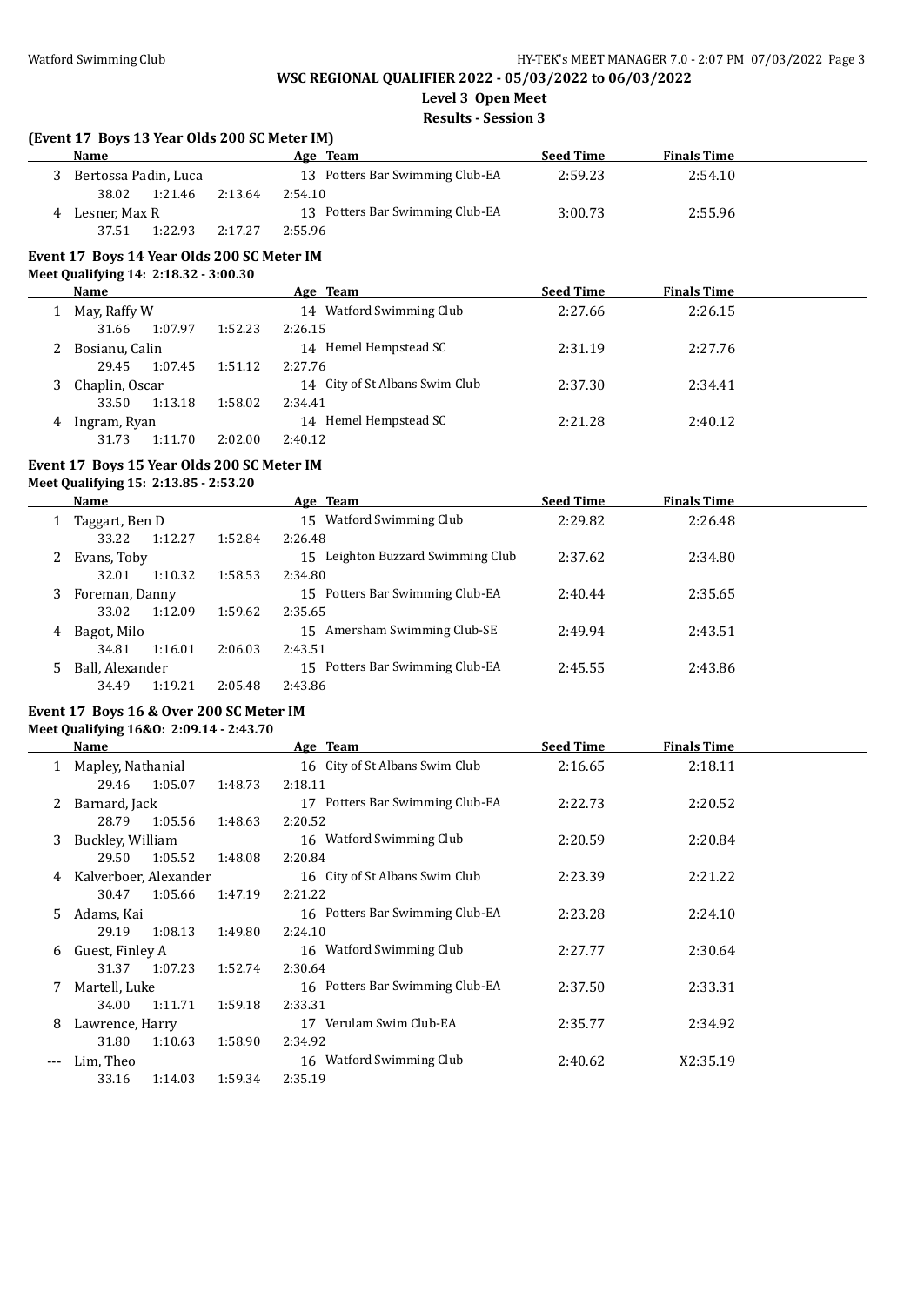**Level 3 Open Meet**

**Results - Session 3**

| <b>Name</b>          |         |         | Age Team                        | <b>Seed Time</b> | <b>Finals Time</b> |  |
|----------------------|---------|---------|---------------------------------|------------------|--------------------|--|
| Bertossa Padin, Luca |         |         | 13 Potters Bar Swimming Club-EA | 2:59.23          | 2:54.10            |  |
| 38.02                | 1:21.46 | 2:13.64 | 2:54.10                         |                  |                    |  |
| Lesner, Max R        |         |         | 13 Potters Bar Swimming Club-EA | 3:00.73          | 2:55.96            |  |
| 37.51                | 1:22.93 | 2:17.27 | 2:55.96                         |                  |                    |  |

# **Event 17 Boys 14 Year Olds 200 SC Meter IM**

#### **Meet Qualifying 14: 2:18.32 - 3:00.30**

|   | Name             |         | Age Team                       | <b>Seed Time</b> | <b>Finals Time</b> |  |
|---|------------------|---------|--------------------------------|------------------|--------------------|--|
|   | May, Raffy W     |         | 14 Watford Swimming Club       | 2:27.66          | 2:26.15            |  |
|   | 1:07.97<br>31.66 | 1:52.23 | 2:26.15                        |                  |                    |  |
|   | Bosianu, Calin   |         | 14 Hemel Hempstead SC          | 2:31.19          | 2:27.76            |  |
|   | 1:07.45<br>29.45 | 1:51.12 | 2:27.76                        |                  |                    |  |
|   | Chaplin, Oscar   |         | 14 City of St Albans Swim Club | 2:37.30          | 2:34.41            |  |
|   | 1:13.18<br>33.50 | 1:58.02 | 2:34.41                        |                  |                    |  |
| 4 | Ingram, Ryan     |         | 14 Hemel Hempstead SC          | 2:21.28          | 2:40.12            |  |
|   | 31.73<br>1:11.70 | 2:02.00 | 2:40.12                        |                  |                    |  |

#### **Event 17 Boys 15 Year Olds 200 SC Meter IM**

**Meet Qualifying 15: 2:13.85 - 2:53.20**

|   | Name            |         |         | Age Team                             | <b>Seed Time</b> | <b>Finals Time</b> |  |
|---|-----------------|---------|---------|--------------------------------------|------------------|--------------------|--|
|   | Taggart, Ben D  |         |         | 15 Watford Swimming Club             | 2:29.82          | 2:26.48            |  |
|   | 33.22           | 1:12.27 | 1:52.84 | 2:26.48                              |                  |                    |  |
| 2 | Evans, Toby     |         |         | Leighton Buzzard Swimming Club<br>15 | 2:37.62          | 2:34.80            |  |
|   | 32.01           | 1:10.32 | 1:58.53 | 2:34.80                              |                  |                    |  |
| 3 | Foreman, Danny  |         |         | 15 Potters Bar Swimming Club-EA      | 2:40.44          | 2:35.65            |  |
|   | 33.02           | 1:12.09 | 1:59.62 | 2:35.65                              |                  |                    |  |
| 4 | Bagot, Milo     |         |         | Amersham Swimming Club-SE<br>15      | 2:49.94          | 2:43.51            |  |
|   | 34.81           | 1:16.01 | 2:06.03 | 2:43.51                              |                  |                    |  |
| 5 | Ball, Alexander |         |         | Potters Bar Swimming Club-EA<br>15.  | 2:45.55          | 2:43.86            |  |
|   | 34.49           | 1:19.21 | 2:05.48 | 2:43.86                              |                  |                    |  |

#### **Event 17 Boys 16 & Over 200 SC Meter IM**

#### **Meet Qualifying 16&O: 2:09.14 - 2:43.70**

|     | Name                  |         |         | Age Team                           | <b>Seed Time</b> | <b>Finals Time</b> |  |
|-----|-----------------------|---------|---------|------------------------------------|------------------|--------------------|--|
|     | Mapley, Nathanial     |         |         | 16 City of St Albans Swim Club     | 2:16.65          | 2:18.11            |  |
|     | 29.46                 | 1:05.07 | 1:48.73 | 2:18.11                            |                  |                    |  |
|     | Barnard, Jack         |         |         | Potters Bar Swimming Club-EA<br>17 | 2:22.73          | 2:20.52            |  |
|     | 28.79                 | 1:05.56 | 1:48.63 | 2:20.52                            |                  |                    |  |
| 3   | Buckley, William      |         |         | 16 Watford Swimming Club           | 2:20.59          | 2:20.84            |  |
|     | 29.50                 | 1:05.52 | 1:48.08 | 2:20.84                            |                  |                    |  |
| 4   | Kalverboer, Alexander |         |         | 16 City of St Albans Swim Club     | 2:23.39          | 2:21.22            |  |
|     | 30.47                 | 1:05.66 | 1:47.19 | 2:21.22                            |                  |                    |  |
| 5   | Adams, Kai            |         |         | 16 Potters Bar Swimming Club-EA    | 2:23.28          | 2:24.10            |  |
|     | 29.19                 | 1:08.13 | 1:49.80 | 2:24.10                            |                  |                    |  |
| 6   | Guest, Finley A       |         |         | 16 Watford Swimming Club           | 2:27.77          | 2:30.64            |  |
|     | 31.37                 | 1:07.23 | 1:52.74 | 2:30.64                            |                  |                    |  |
|     | Martell, Luke         |         |         | 16 Potters Bar Swimming Club-EA    | 2:37.50          | 2:33.31            |  |
|     | 34.00                 | 1:11.71 | 1:59.18 | 2:33.31                            |                  |                    |  |
| 8   | Lawrence, Harry       |         |         | Verulam Swim Club-EA<br>17         | 2:35.77          | 2:34.92            |  |
|     | 31.80                 | 1:10.63 | 1:58.90 | 2:34.92                            |                  |                    |  |
| --- | Lim, Theo             |         |         | 16 Watford Swimming Club           | 2:40.62          | X2:35.19           |  |
|     | 33.16                 | 1:14.03 | 1:59.34 | 2:35.19                            |                  |                    |  |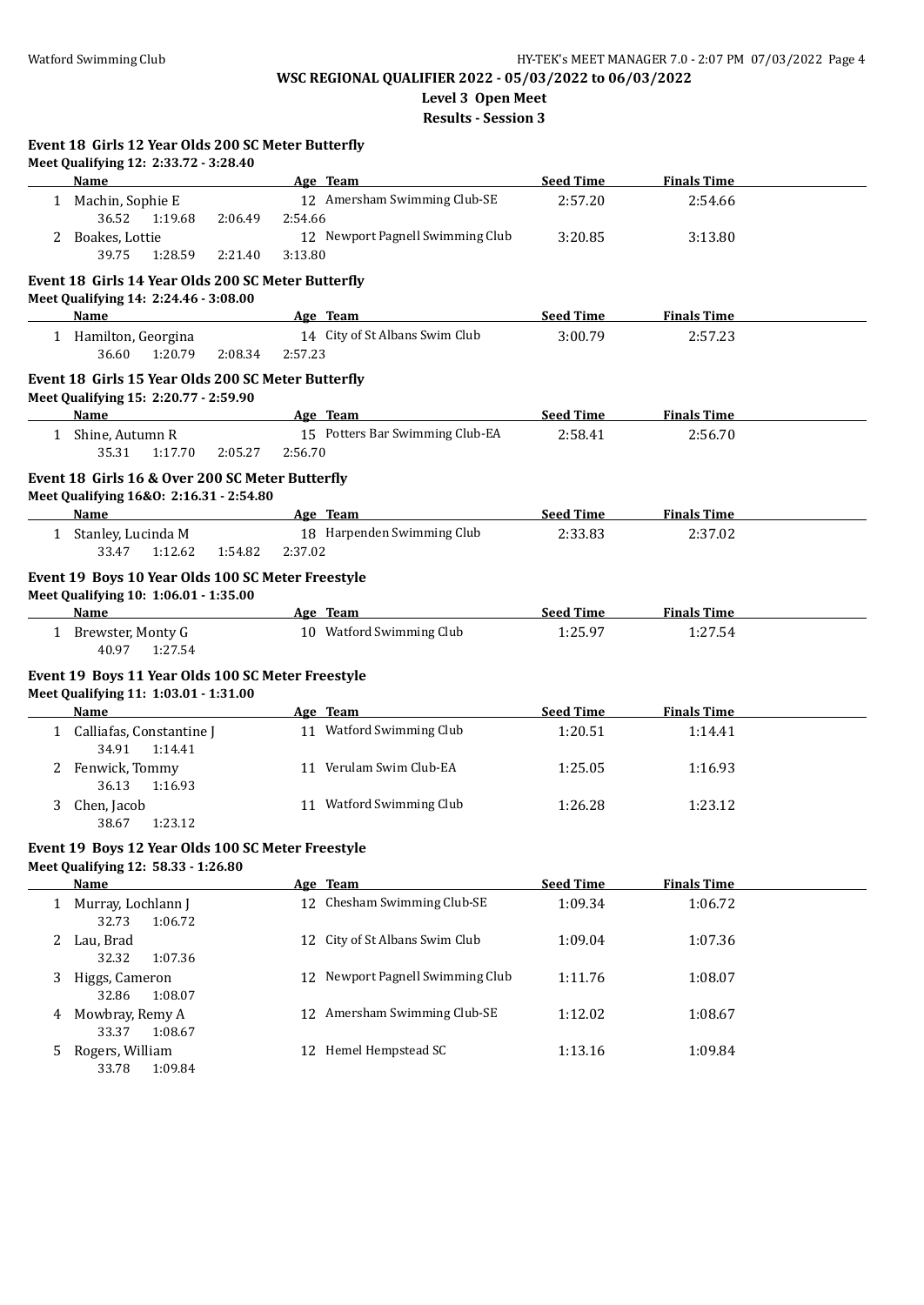33.37 1:08.67

33.78 1:09.84

# **WSC REGIONAL QUALIFIER 2022 - 05/03/2022 to 06/03/2022**

**Level 3 Open Meet**

**Results - Session 3**

|   | Event 18 Girls 12 Year Olds 200 SC Meter Butterfly<br>Meet Qualifying 12: 2:33.72 - 3:28.40               |         |         |                                  |                  |                    |  |
|---|-----------------------------------------------------------------------------------------------------------|---------|---------|----------------------------------|------------------|--------------------|--|
|   | <b>Name</b>                                                                                               |         |         | Age Team                         | <b>Seed Time</b> | <b>Finals Time</b> |  |
|   | 1 Machin, Sophie E<br>36.52<br>1:19.68                                                                    | 2:06.49 | 2:54.66 | 12 Amersham Swimming Club-SE     | 2:57.20          | 2:54.66            |  |
|   | 2 Boakes, Lottie                                                                                          |         |         | 12 Newport Pagnell Swimming Club | 3:20.85          | 3:13.80            |  |
|   | 39.75<br>1:28.59                                                                                          | 2:21.40 | 3:13.80 |                                  |                  |                    |  |
|   | Event 18 Girls 14 Year Olds 200 SC Meter Butterfly<br>Meet Qualifying 14: 2:24.46 - 3:08.00               |         |         |                                  |                  |                    |  |
|   | Name                                                                                                      |         |         | Age Team                         | <b>Seed Time</b> | <b>Finals Time</b> |  |
|   | 1 Hamilton, Georgina<br>36.60<br>1:20.79                                                                  | 2:08.34 | 2:57.23 | 14 City of St Albans Swim Club   | 3:00.79          | 2:57.23            |  |
|   | Event 18 Girls 15 Year Olds 200 SC Meter Butterfly<br>Meet Qualifying 15: 2:20.77 - 2:59.90               |         |         |                                  |                  |                    |  |
|   | <b>Name</b>                                                                                               |         |         | Age Team                         | <b>Seed Time</b> | <b>Finals Time</b> |  |
|   | 1 Shine, Autumn R<br>35.31<br>1:17.70                                                                     | 2:05.27 | 2:56.70 | 15 Potters Bar Swimming Club-EA  | 2:58.41          | 2:56.70            |  |
|   | Event 18 Girls 16 & Over 200 SC Meter Butterfly<br>Meet Qualifying 16&0: 2:16.31 - 2:54.80<br><b>Name</b> |         |         | Age Team                         | <b>Seed Time</b> | <b>Finals Time</b> |  |
|   | 1 Stanley, Lucinda M                                                                                      |         |         | 18 Harpenden Swimming Club       | 2:33.83          | 2:37.02            |  |
|   | 33.47<br>1:12.62                                                                                          | 1:54.82 | 2:37.02 |                                  |                  |                    |  |
|   | Event 19 Boys 10 Year Olds 100 SC Meter Freestyle<br>Meet Qualifying 10: 1:06.01 - 1:35.00<br>Name        |         |         | Age Team                         | <b>Seed Time</b> | <b>Finals Time</b> |  |
|   | 1 Brewster, Monty G<br>40.97<br>1:27.54                                                                   |         |         | 10 Watford Swimming Club         | 1:25.97          | 1:27.54            |  |
|   | Event 19 Boys 11 Year Olds 100 SC Meter Freestyle<br>Meet Qualifying 11: 1:03.01 - 1:31.00                |         |         |                                  |                  |                    |  |
|   | Name                                                                                                      |         |         | Age Team                         | <b>Seed Time</b> | <b>Finals Time</b> |  |
|   | 1 Calliafas, Constantine J<br>34.91<br>1:14.41                                                            |         |         | 11 Watford Swimming Club         | 1:20.51          | 1:14.41            |  |
|   | 2 Fenwick, Tommy<br>1:16.93<br>36.13                                                                      |         |         | 11 Verulam Swim Club-EA          | 1:25.05          | 1:16.93            |  |
| 3 | Chen, Jacob<br>38.67<br>1:23.12                                                                           |         |         | 11 Watford Swimming Club         | 1:26.28          | 1:23.12            |  |
|   | Event 19 Boys 12 Year Olds 100 SC Meter Freestyle<br>Meet Qualifying 12: 58.33 - 1:26.80                  |         |         |                                  |                  |                    |  |
|   | <b>Name</b>                                                                                               |         |         | Age Team                         | <b>Seed Time</b> | <b>Finals Time</b> |  |
|   | 1 Murray, Lochlann J<br>32.73<br>1:06.72                                                                  |         |         | 12 Chesham Swimming Club-SE      | 1:09.34          | 1:06.72            |  |
|   | 2 Lau, Brad<br>32.32<br>1:07.36                                                                           |         |         | 12 City of St Albans Swim Club   | 1:09.04          | 1:07.36            |  |
| 3 | Higgs, Cameron<br>32.86<br>1:08.07                                                                        |         | 12      | Newport Pagnell Swimming Club    | 1:11.76          | 1:08.07            |  |
|   | 4 Mowbray, Remy A                                                                                         |         |         | 12 Amersham Swimming Club-SE     | 1:12.02          | 1:08.67            |  |

5 Rogers, William 12 Hemel Hempstead SC 1:13.16 1:09.84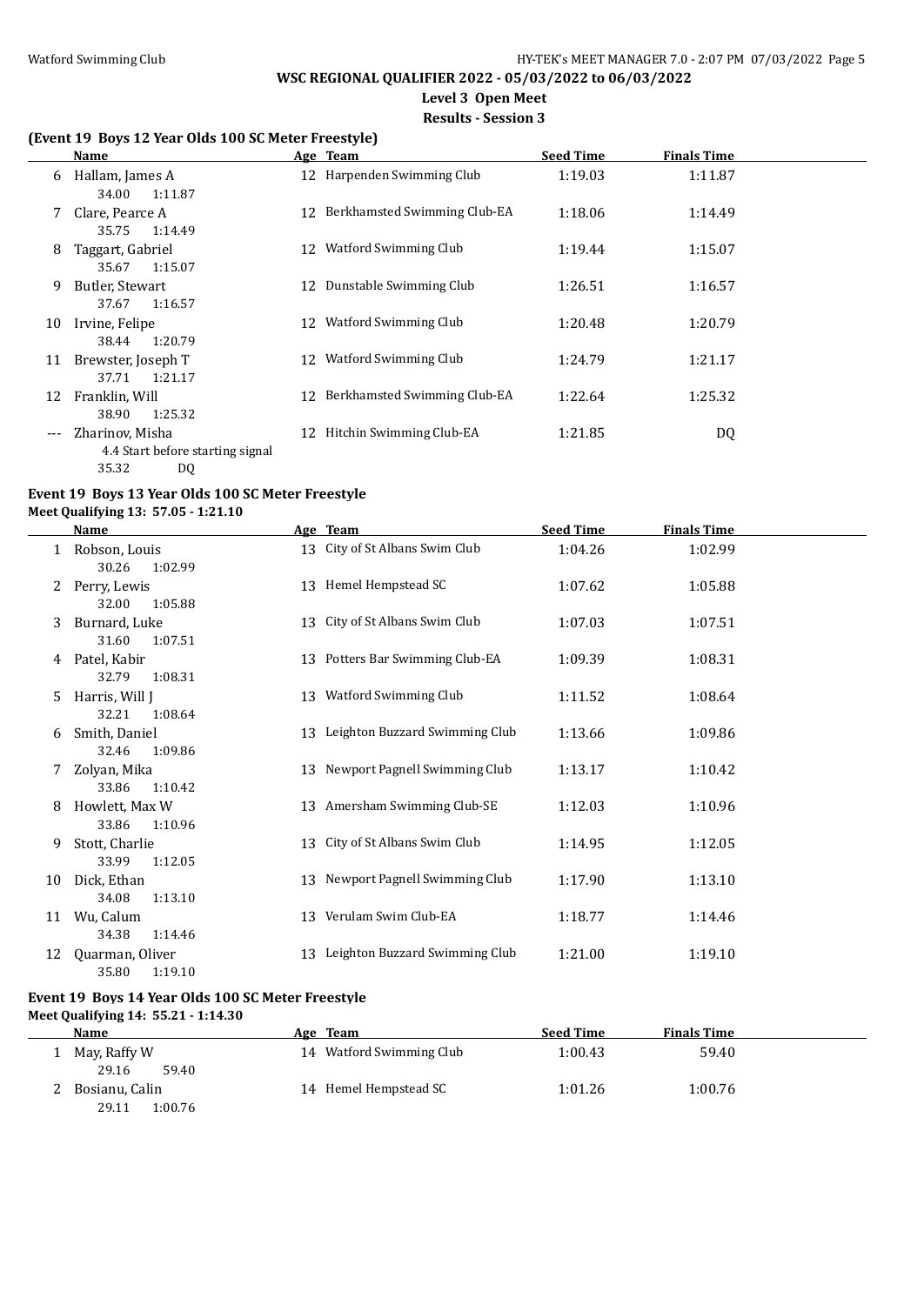**Level 3 Open Meet**

**Results - Session 3**

#### **(Event 19 Boys 12 Year Olds 100 SC Meter Freestyle)**

|       | Name                                                |    | Age Team                        | <b>Seed Time</b> | <b>Finals Time</b> |  |
|-------|-----------------------------------------------------|----|---------------------------------|------------------|--------------------|--|
| 6     | Hallam, James A<br>34.00<br>1:11.87                 |    | 12 Harpenden Swimming Club      | 1:19.03          | 1:11.87            |  |
| 7     | Clare, Pearce A<br>1:14.49<br>35.75                 |    | 12 Berkhamsted Swimming Club-EA | 1:18.06          | 1:14.49            |  |
| 8     | Taggart, Gabriel<br>1:15.07<br>35.67                | 12 | <b>Watford Swimming Club</b>    | 1:19.44          | 1:15.07            |  |
| 9     | Butler, Stewart<br>37.67<br>1:16.57                 | 12 | Dunstable Swimming Club         | 1:26.51          | 1:16.57            |  |
| 10    | Irvine, Felipe<br>1:20.79<br>38.44                  | 12 | Watford Swimming Club           | 1:20.48          | 1:20.79            |  |
| 11    | Brewster, Joseph T<br>1:21.17<br>37.71              | 12 | Watford Swimming Club           | 1:24.79          | 1:21.17            |  |
| 12    | Franklin, Will<br>1:25.32<br>38.90                  |    | 12 Berkhamsted Swimming Club-EA | 1:22.64          | 1:25.32            |  |
| $---$ | Zharinov, Misha<br>4.4 Start before starting signal | 12 | Hitchin Swimming Club-EA        | 1:21.85          | DQ                 |  |

# **Event 19 Boys 13 Year Olds 100 SC Meter Freestyle**

35.32 DQ

**Meet Qualifying 13: 57.05 - 1:21.10**

|    | Name                                |    | Age Team                        | <b>Seed Time</b> | <b>Finals Time</b> |
|----|-------------------------------------|----|---------------------------------|------------------|--------------------|
| 1  | Robson, Louis<br>30.26<br>1:02.99   | 13 | City of St Albans Swim Club     | 1:04.26          | 1:02.99            |
| 2  | Perry, Lewis<br>1:05.88<br>32.00    | 13 | Hemel Hempstead SC              | 1:07.62          | 1:05.88            |
| 3  | Burnard, Luke<br>31.60<br>1:07.51   | 13 | City of St Albans Swim Club     | 1:07.03          | 1:07.51            |
| 4  | Patel, Kabir<br>32.79<br>1:08.31    |    | 13 Potters Bar Swimming Club-EA | 1:09.39          | 1:08.31            |
| 5  | Harris, Will J<br>32.21<br>1:08.64  | 13 | Watford Swimming Club           | 1:11.52          | 1:08.64            |
| 6  | Smith, Daniel<br>32.46<br>1:09.86   | 13 | Leighton Buzzard Swimming Club  | 1:13.66          | 1:09.86            |
| 7  | Zolyan, Mika<br>33.86<br>1:10.42    | 13 | Newport Pagnell Swimming Club   | 1:13.17          | 1:10.42            |
| 8  | Howlett, Max W<br>33.86<br>1:10.96  |    | 13 Amersham Swimming Club-SE    | 1:12.03          | 1:10.96            |
| 9  | Stott, Charlie<br>1:12.05<br>33.99  | 13 | City of St Albans Swim Club     | 1:14.95          | 1:12.05            |
| 10 | Dick. Ethan<br>34.08<br>1:13.10     | 13 | Newport Pagnell Swimming Club   | 1:17.90          | 1:13.10            |
| 11 | Wu, Calum<br>34.38<br>1:14.46       | 13 | Verulam Swim Club-EA            | 1:18.77          | 1:14.46            |
| 12 | Quarman, Oliver<br>35.80<br>1:19.10 | 13 | Leighton Buzzard Swimming Club  | 1:21.00          | 1:19.10            |

## **Event 19 Boys 14 Year Olds 100 SC Meter Freestyle**

**Meet Qualifying 14: 55.21 - 1:14.30**

|  | Name             | Age Team                 | <b>Seed Time</b> | <b>Finals Time</b> |
|--|------------------|--------------------------|------------------|--------------------|
|  | May, Raffy W     | 14 Watford Swimming Club | 1:00.43          | 59.40              |
|  | 29.16<br>59.40   |                          |                  |                    |
|  | Bosianu, Calin   | 14 Hemel Hempstead SC    | 1:01.26          | 1:00.76            |
|  | 1:00.76<br>29.11 |                          |                  |                    |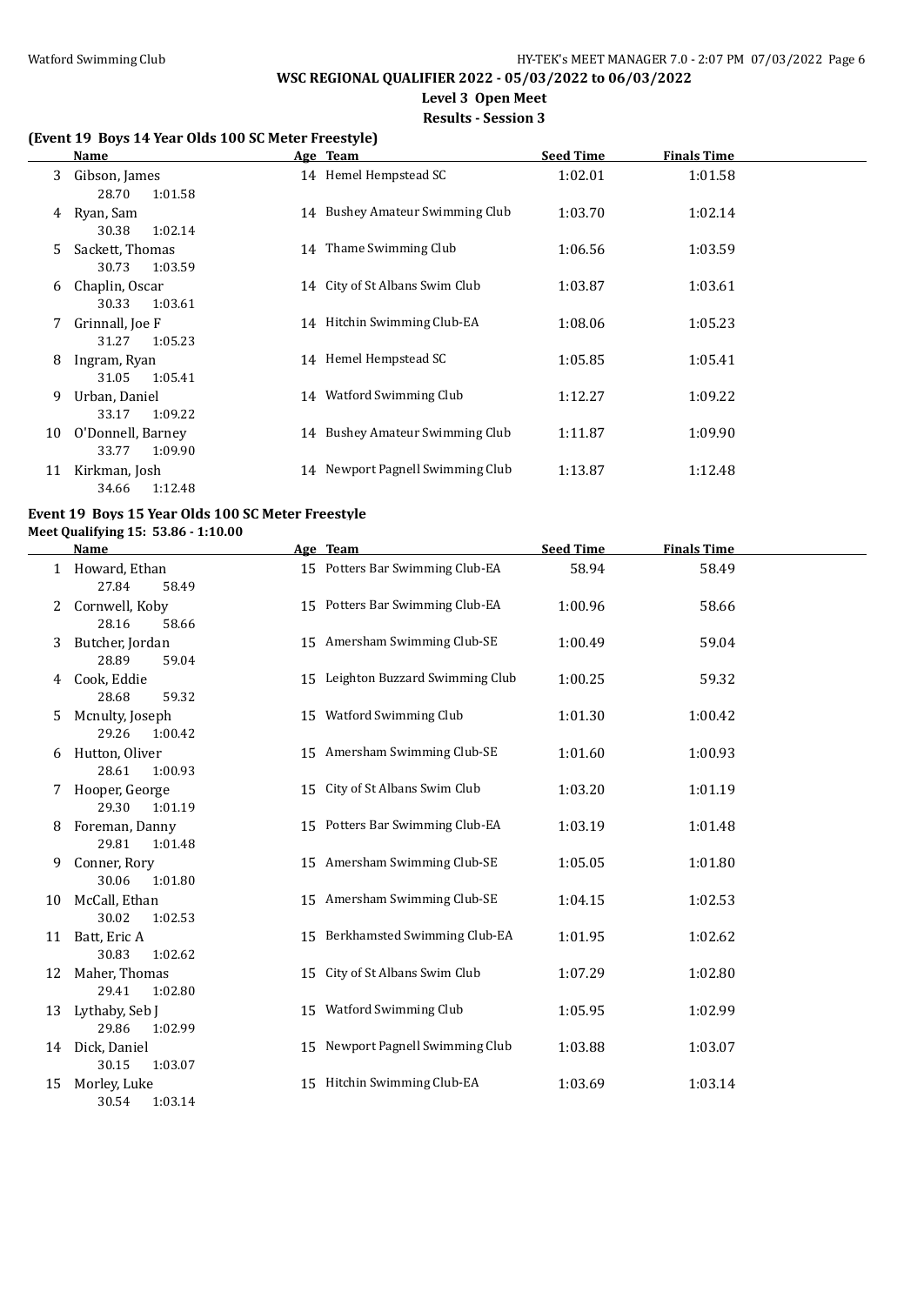**Level 3 Open Meet**

#### **Results - Session 3**

#### **(Event 19 Boys 14 Year Olds 100 SC Meter Freestyle)**

|    | Name                                                  | Age Team                         | <b>Seed Time</b> | <b>Finals Time</b> |  |
|----|-------------------------------------------------------|----------------------------------|------------------|--------------------|--|
| 3  | Gibson, James<br>28.70<br>1:01.58                     | 14 Hemel Hempstead SC            | 1:02.01          | 1:01.58            |  |
| 4  | Ryan, Sam<br>30.38<br>1:02.14                         | 14 Bushey Amateur Swimming Club  | 1:03.70          | 1:02.14            |  |
| 5. | Sackett, Thomas<br>1:03.59<br>30.73                   | 14 Thame Swimming Club           | 1:06.56          | 1:03.59            |  |
| 6  | Chaplin, Oscar<br>1:03.61<br>30.33                    | 14 City of St Albans Swim Club   | 1:03.87          | 1:03.61            |  |
| 7  | Grinnall, Joe F<br>1:05.23<br>31.27                   | 14 Hitchin Swimming Club-EA      | 1:08.06          | 1:05.23            |  |
| 8  | Ingram, Ryan<br>1:05.41<br>31.05                      | 14 Hemel Hempstead SC            | 1:05.85          | 1:05.41            |  |
| 9  | Urban, Daniel                                         | 14 Watford Swimming Club         | 1:12.27          | 1:09.22            |  |
| 10 | 1:09.22<br>33.17<br>O'Donnell, Barney                 | 14 Bushey Amateur Swimming Club  | 1:11.87          | 1:09.90            |  |
| 11 | 1:09.90<br>33.77<br>Kirkman, Josh<br>1:12.48<br>34.66 | 14 Newport Pagnell Swimming Club | 1:13.87          | 1:12.48            |  |
|    |                                                       |                                  |                  |                    |  |

## **Event 19 Boys 15 Year Olds 100 SC Meter Freestyle**

**Meet Qualifying 15: 53.86 - 1:10.00**

|    | Name                                |    | Age Team                          | <b>Seed Time</b> | <b>Finals Time</b> |  |
|----|-------------------------------------|----|-----------------------------------|------------------|--------------------|--|
|    | Howard, Ethan<br>27.84<br>58.49     |    | 15 Potters Bar Swimming Club-EA   | 58.94            | 58.49              |  |
| 2  | Cornwell, Koby<br>28.16<br>58.66    |    | 15 Potters Bar Swimming Club-EA   | 1:00.96          | 58.66              |  |
| 3  | Butcher, Jordan<br>28.89<br>59.04   |    | 15 Amersham Swimming Club-SE      | 1:00.49          | 59.04              |  |
| 4  | Cook, Eddie<br>28.68<br>59.32       |    | 15 Leighton Buzzard Swimming Club | 1:00.25          | 59.32              |  |
| 5  | Mcnulty, Joseph<br>29.26<br>1:00.42 |    | 15 Watford Swimming Club          | 1:01.30          | 1:00.42            |  |
| 6  | Hutton, Oliver<br>28.61<br>1:00.93  |    | 15 Amersham Swimming Club-SE      | 1:01.60          | 1:00.93            |  |
| 7  | Hooper, George<br>29.30<br>1:01.19  | 15 | City of St Albans Swim Club       | 1:03.20          | 1:01.19            |  |
| 8  | Foreman, Danny<br>29.81<br>1:01.48  |    | 15 Potters Bar Swimming Club-EA   | 1:03.19          | 1:01.48            |  |
| 9  | Conner, Rory<br>30.06<br>1:01.80    |    | 15 Amersham Swimming Club-SE      | 1:05.05          | 1:01.80            |  |
| 10 | McCall, Ethan<br>30.02<br>1:02.53   |    | 15 Amersham Swimming Club-SE      | 1:04.15          | 1:02.53            |  |
|    | 11 Batt, Eric A<br>30.83<br>1:02.62 |    | 15 Berkhamsted Swimming Club-EA   | 1:01.95          | 1:02.62            |  |
| 12 | Maher, Thomas<br>29.41<br>1:02.80   | 15 | City of St Albans Swim Club       | 1:07.29          | 1:02.80            |  |
| 13 | Lythaby, Seb J<br>29.86<br>1:02.99  |    | 15 Watford Swimming Club          | 1:05.95          | 1:02.99            |  |
|    | 14 Dick, Daniel<br>30.15<br>1:03.07 |    | 15 Newport Pagnell Swimming Club  | 1:03.88          | 1:03.07            |  |
| 15 | Morley, Luke<br>30.54<br>1:03.14    |    | 15 Hitchin Swimming Club-EA       | 1:03.69          | 1:03.14            |  |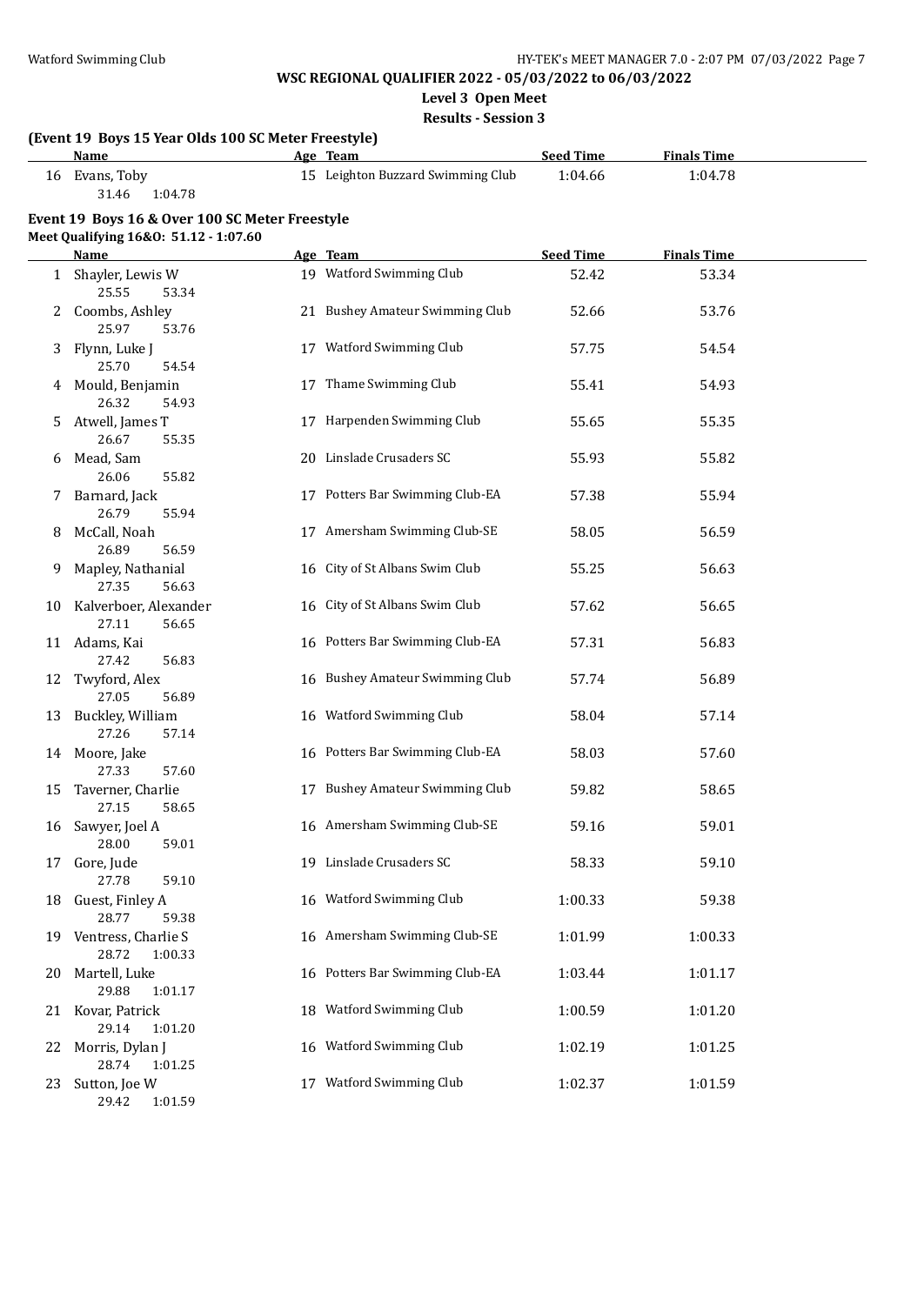**Level 3 Open Meet**

**Results - Session 3**

|    | (Event 19 Boys 15 Year Olds 100 SC Meter Freestyle) |                                               |                             |                               |  |
|----|-----------------------------------------------------|-----------------------------------------------|-----------------------------|-------------------------------|--|
|    | Name<br>16 Evans, Toby                              | Age Team<br>15 Leighton Buzzard Swimming Club | <b>Seed Time</b><br>1:04.66 | <b>Finals Time</b><br>1:04.78 |  |
|    | 31.46<br>1:04.78                                    |                                               |                             |                               |  |
|    | Event 19 Boys 16 & Over 100 SC Meter Freestyle      |                                               |                             |                               |  |
|    | Meet Qualifying 16&0: 51.12 - 1:07.60               | Age Team                                      | <b>Seed Time</b>            | <b>Finals Time</b>            |  |
|    | <u>Name</u><br>1 Shayler, Lewis W                   | 19 Watford Swimming Club                      | 52.42                       | 53.34                         |  |
|    | 25.55<br>53.34                                      |                                               |                             |                               |  |
|    | 2 Coombs, Ashley<br>25.97<br>53.76                  | 21 Bushey Amateur Swimming Club               | 52.66                       | 53.76                         |  |
| 3  | Flynn, Luke J<br>25.70<br>54.54                     | 17 Watford Swimming Club                      | 57.75                       | 54.54                         |  |
|    | 4 Mould, Benjamin<br>26.32<br>54.93                 | 17 Thame Swimming Club                        | 55.41                       | 54.93                         |  |
|    | 5 Atwell, James T<br>26.67<br>55.35                 | 17 Harpenden Swimming Club                    | 55.65                       | 55.35                         |  |
|    | 6 Mead, Sam<br>26.06<br>55.82                       | 20 Linslade Crusaders SC                      | 55.93                       | 55.82                         |  |
|    | 7 Barnard, Jack<br>26.79<br>55.94                   | 17 Potters Bar Swimming Club-EA               | 57.38                       | 55.94                         |  |
| 8  | McCall, Noah<br>26.89<br>56.59                      | 17 Amersham Swimming Club-SE                  | 58.05                       | 56.59                         |  |
| 9. | Mapley, Nathanial<br>27.35<br>56.63                 | 16 City of St Albans Swim Club                | 55.25                       | 56.63                         |  |
|    | 10 Kalverboer, Alexander<br>27.11<br>56.65          | 16 City of St Albans Swim Club                | 57.62                       | 56.65                         |  |
|    | 11 Adams, Kai<br>27.42<br>56.83                     | 16 Potters Bar Swimming Club-EA               | 57.31                       | 56.83                         |  |
|    | 12 Twyford, Alex<br>27.05<br>56.89                  | 16 Bushey Amateur Swimming Club               | 57.74                       | 56.89                         |  |
|    | 13 Buckley, William<br>27.26<br>57.14               | 16 Watford Swimming Club                      | 58.04                       | 57.14                         |  |
|    | 14 Moore, Jake<br>27.33<br>57.60                    | 16 Potters Bar Swimming Club-EA               | 58.03                       | 57.60                         |  |
| 15 | Taverner, Charlie<br>27.15<br>58.65                 | 17 Bushey Amateur Swimming Club               | 59.82                       | 58.65                         |  |
|    | 16 Sawyer, Joel A<br>28.00<br>59.01                 | 16 Amersham Swimming Club-SE                  | 59.16                       | 59.01                         |  |
| 17 | Gore, Jude<br>27.78<br>59.10                        | 19 Linslade Crusaders SC                      | 58.33                       | 59.10                         |  |
| 18 | Guest, Finley A<br>28.77<br>59.38                   | 16 Watford Swimming Club                      | 1:00.33                     | 59.38                         |  |
|    | 19 Ventress, Charlie S<br>28.72<br>1:00.33          | 16 Amersham Swimming Club-SE                  | 1:01.99                     | 1:00.33                       |  |
| 20 | Martell, Luke<br>29.88<br>1:01.17                   | 16 Potters Bar Swimming Club-EA               | 1:03.44                     | 1:01.17                       |  |
|    | 21 Kovar, Patrick<br>29.14<br>1:01.20               | 18 Watford Swimming Club                      | 1:00.59                     | 1:01.20                       |  |
| 22 | Morris, Dylan J<br>28.74<br>1:01.25                 | 16 Watford Swimming Club                      | 1:02.19                     | 1:01.25                       |  |
| 23 | Sutton, Joe W<br>29.42<br>1:01.59                   | 17 Watford Swimming Club                      | 1:02.37                     | 1:01.59                       |  |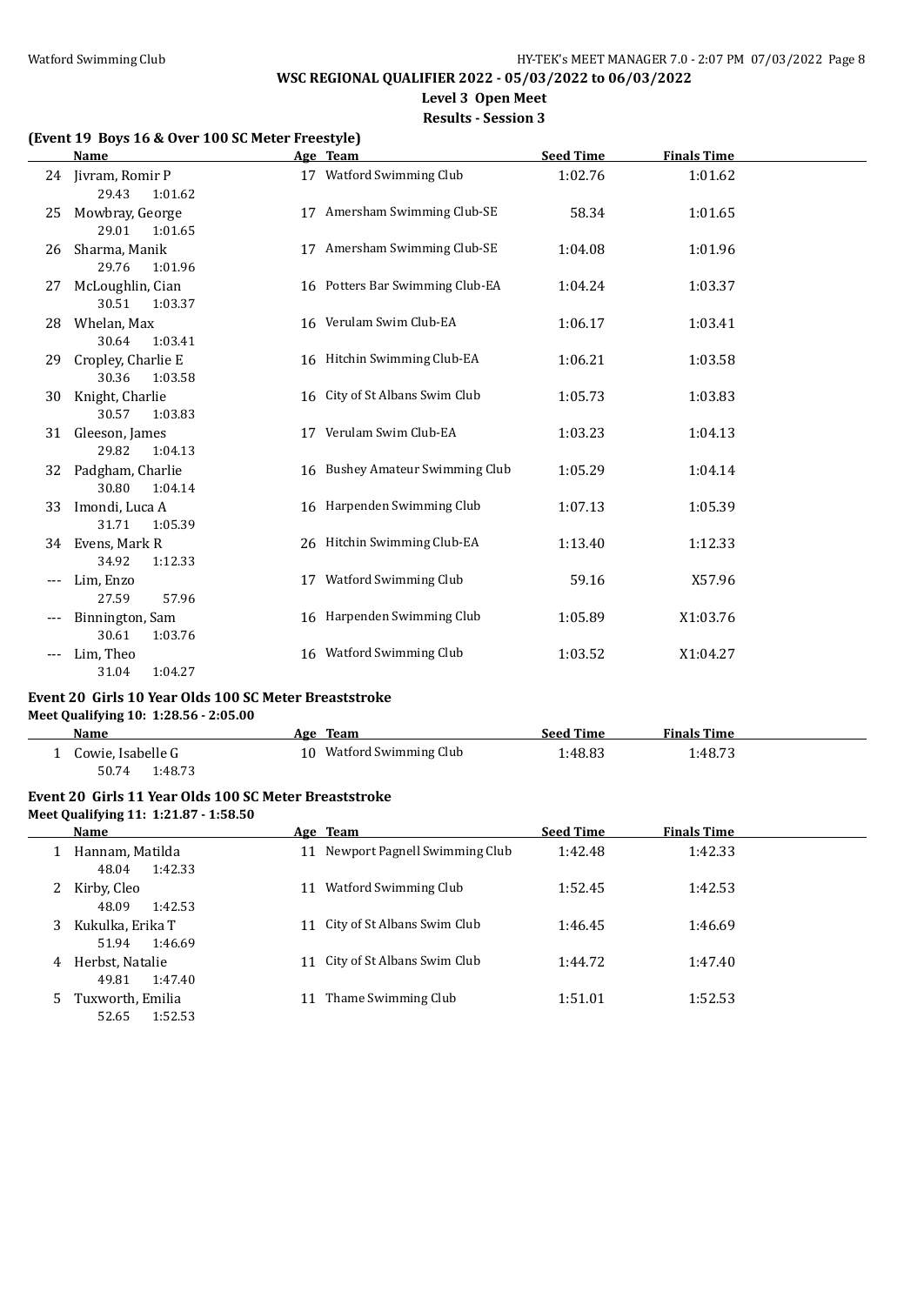**Level 3 Open Meet**

**Results - Session 3**

#### **(Event 19 Boys 16 & Over 100 SC Meter Freestyle)**

|     | <b>Name</b>                            |    | Age Team                        | <b>Seed Time</b> | <b>Finals Time</b> |  |
|-----|----------------------------------------|----|---------------------------------|------------------|--------------------|--|
|     | 24 Jivram, Romir P<br>29.43<br>1:01.62 |    | 17 Watford Swimming Club        | 1:02.76          | 1:01.62            |  |
| 25  | Mowbray, George<br>29.01<br>1:01.65    | 17 | Amersham Swimming Club-SE       | 58.34            | 1:01.65            |  |
| 26  | Sharma, Manik<br>29.76<br>1:01.96      | 17 | Amersham Swimming Club-SE       | 1:04.08          | 1:01.96            |  |
| 27  | McLoughlin, Cian<br>30.51<br>1:03.37   |    | 16 Potters Bar Swimming Club-EA | 1:04.24          | 1:03.37            |  |
| 28  | Whelan, Max<br>30.64<br>1:03.41        |    | 16 Verulam Swim Club-EA         | 1:06.17          | 1:03.41            |  |
| 29  | Cropley, Charlie E<br>30.36<br>1:03.58 |    | 16 Hitchin Swimming Club-EA     | 1:06.21          | 1:03.58            |  |
| 30  | Knight, Charlie<br>30.57<br>1:03.83    |    | 16 City of St Albans Swim Club  | 1:05.73          | 1:03.83            |  |
| 31  | Gleeson, James<br>29.82<br>1:04.13     |    | 17 Verulam Swim Club-EA         | 1:03.23          | 1:04.13            |  |
| 32  | Padgham, Charlie<br>30.80<br>1:04.14   |    | 16 Bushey Amateur Swimming Club | 1:05.29          | 1:04.14            |  |
| 33  | Imondi, Luca A<br>31.71<br>1:05.39     |    | 16 Harpenden Swimming Club      | 1:07.13          | 1:05.39            |  |
|     | 34 Evens, Mark R<br>34.92<br>1:12.33   |    | 26 Hitchin Swimming Club-EA     | 1:13.40          | 1:12.33            |  |
| --- | Lim, Enzo<br>57.96<br>27.59            |    | 17 Watford Swimming Club        | 59.16            | X57.96             |  |
|     | Binnington, Sam<br>30.61<br>1:03.76    |    | 16 Harpenden Swimming Club      | 1:05.89          | X1:03.76           |  |
| --- | Lim, Theo<br>31.04<br>1:04.27          |    | 16 Watford Swimming Club        | 1:03.52          | X1:04.27           |  |

#### **Event 20 Girls 10 Year Olds 100 SC Meter Breaststroke Meet Qualifying 10: 1:28.56 - 2:05.00**

| Name              | Team<br>Age              | <b>Seed Time</b> | <b>Finals Time</b> |  |
|-------------------|--------------------------|------------------|--------------------|--|
| Cowie, Isabelle G | 10 Watford Swimming Club | :48.83           | 1:48.73            |  |
| 1:48.73<br>50.74  |                          |                  |                    |  |

#### **Event 20 Girls 11 Year Olds 100 SC Meter Breaststroke Meet Qualifying 11: 1:21.87 - 1:58.50**

|    | Name                                 | Age Team                         | <b>Seed Time</b> | <b>Finals Time</b> |
|----|--------------------------------------|----------------------------------|------------------|--------------------|
|    | Hannam, Matilda<br>1:42.33<br>48.04  | 11 Newport Pagnell Swimming Club | 1:42.48          | 1:42.33            |
| 2  | Kirby, Cleo<br>48.09<br>1:42.53      | Watford Swimming Club            | 1:52.45          | 1:42.53            |
| 3  | Kukulka, Erika T<br>1:46.69<br>51.94 | City of St Albans Swim Club      | 1:46.45          | 1:46.69            |
| 4  | Herbst, Natalie<br>1:47.40<br>49.81  | 11 City of St Albans Swim Club   | 1:44.72          | 1:47.40            |
| 5. | Tuxworth, Emilia<br>1:52.53<br>52.65 | Thame Swimming Club              | 1:51.01          | 1:52.53            |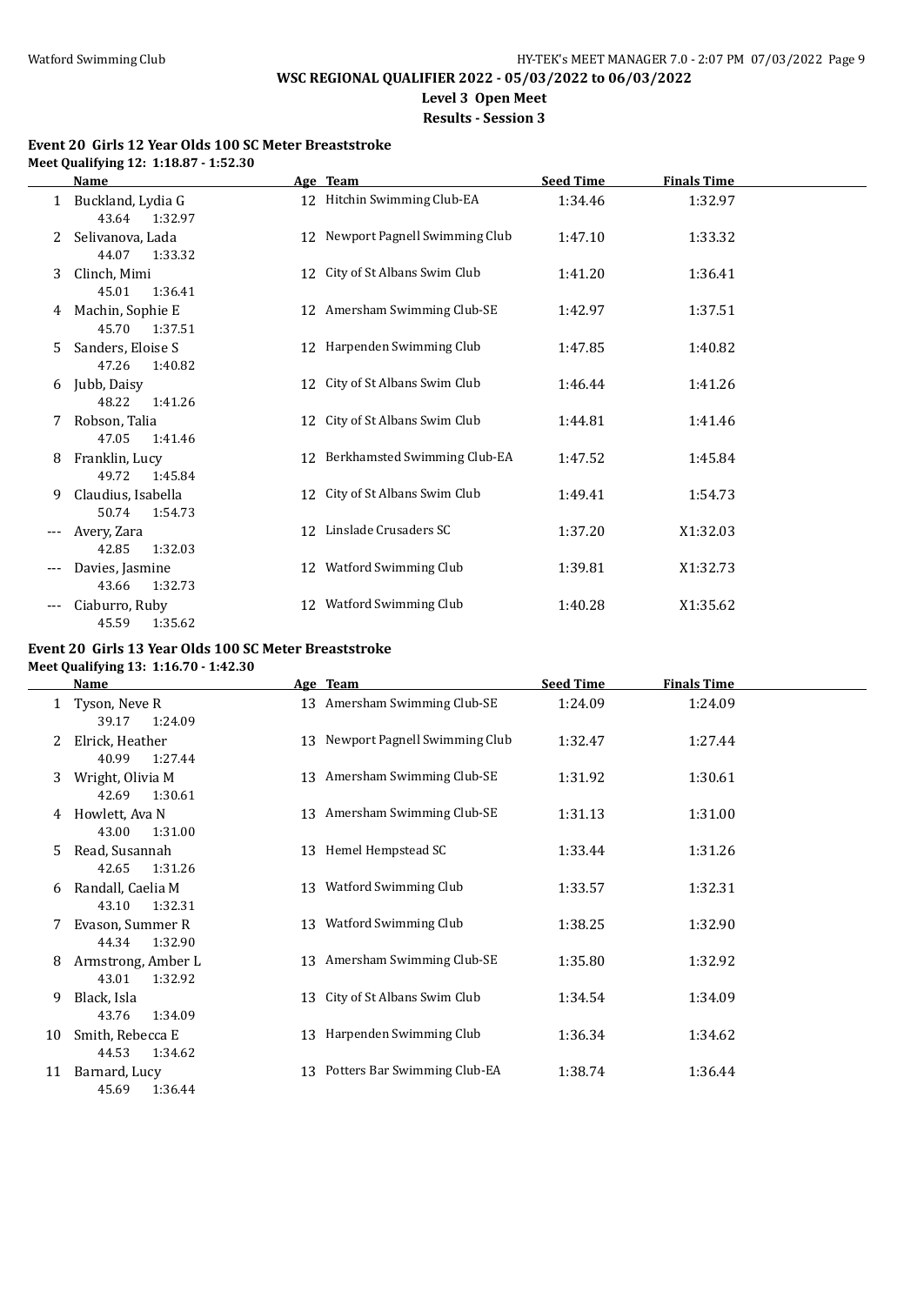# **Level 3 Open Meet**

**Results - Session 3**

#### **Event 20 Girls 12 Year Olds 100 SC Meter Breaststroke Meet Qualifying 12: 1:18.87 - 1:52.30**

|     | <b>Name</b>                            |    | Age Team                         | <b>Seed Time</b> | <b>Finals Time</b> |  |
|-----|----------------------------------------|----|----------------------------------|------------------|--------------------|--|
|     | Buckland, Lydia G<br>43.64 1:32.97     |    | 12 Hitchin Swimming Club-EA      | 1:34.46          | 1:32.97            |  |
| 2   | Selivanova, Lada<br>44.07<br>1:33.32   |    | 12 Newport Pagnell Swimming Club | 1:47.10          | 1:33.32            |  |
| 3   | Clinch, Mimi<br>45.01<br>1:36.41       |    | 12 City of St Albans Swim Club   | 1:41.20          | 1:36.41            |  |
| 4   | Machin, Sophie E<br>45.70<br>1:37.51   |    | 12 Amersham Swimming Club-SE     | 1:42.97          | 1:37.51            |  |
| 5.  | Sanders, Eloise S<br>47.26<br>1:40.82  |    | 12 Harpenden Swimming Club       | 1:47.85          | 1:40.82            |  |
| 6   | Jubb, Daisy<br>48.22<br>1:41.26        |    | 12 City of St Albans Swim Club   | 1:46.44          | 1:41.26            |  |
|     | Robson, Talia<br>47.05<br>1:41.46      |    | 12 City of St Albans Swim Club   | 1:44.81          | 1:41.46            |  |
| 8   | Franklin, Lucy<br>49.72<br>1:45.84     |    | 12 Berkhamsted Swimming Club-EA  | 1:47.52          | 1:45.84            |  |
| 9   | Claudius, Isabella<br>50.74<br>1:54.73 |    | 12 City of St Albans Swim Club   | 1:49.41          | 1:54.73            |  |
| --- | Avery, Zara<br>42.85<br>1:32.03        |    | 12 Linslade Crusaders SC         | 1:37.20          | X1:32.03           |  |
|     | Davies, Jasmine<br>43.66<br>1:32.73    |    | 12 Watford Swimming Club         | 1:39.81          | X1:32.73           |  |
| --- | Ciaburro, Ruby<br>45.59<br>1:35.62     | 12 | <b>Watford Swimming Club</b>     | 1:40.28          | X1:35.62           |  |

#### **Event 20 Girls 13 Year Olds 100 SC Meter Breaststroke Meet Qualifying 13: 1:16.70 - 1:42.30**

|    | Name                                   |    | Age Team                         | <b>Seed Time</b> | <b>Finals Time</b> |
|----|----------------------------------------|----|----------------------------------|------------------|--------------------|
|    | Tyson, Neve R<br>39.17<br>1:24.09      |    | 13 Amersham Swimming Club-SE     | 1:24.09          | 1:24.09            |
| 2  | Elrick, Heather<br>1:27.44<br>40.99    |    | 13 Newport Pagnell Swimming Club | 1:32.47          | 1:27.44            |
| 3  | Wright, Olivia M<br>1:30.61<br>42.69   |    | 13 Amersham Swimming Club-SE     | 1:31.92          | 1:30.61            |
| 4  | Howlett, Ava N<br>1:31.00<br>43.00     |    | 13 Amersham Swimming Club-SE     | 1:31.13          | 1:31.00            |
| 5  | Read, Susannah<br>42.65<br>1:31.26     |    | 13 Hemel Hempstead SC            | 1:33.44          | 1:31.26            |
| 6  | Randall, Caelia M<br>43.10<br>1:32.31  |    | 13 Watford Swimming Club         | 1:33.57          | 1:32.31            |
|    | Evason, Summer R<br>1:32.90<br>44.34   |    | 13 Watford Swimming Club         | 1:38.25          | 1:32.90            |
| 8  | Armstrong, Amber L<br>43.01<br>1:32.92 | 13 | Amersham Swimming Club-SE        | 1:35.80          | 1:32.92            |
| 9  | Black, Isla<br>43.76<br>1:34.09        | 13 | City of St Albans Swim Club      | 1:34.54          | 1:34.09            |
| 10 | Smith, Rebecca E<br>44.53<br>1:34.62   |    | 13 Harpenden Swimming Club       | 1:36.34          | 1:34.62            |
| 11 | Barnard, Lucy<br>1:36.44<br>45.69      |    | 13 Potters Bar Swimming Club-EA  | 1:38.74          | 1:36.44            |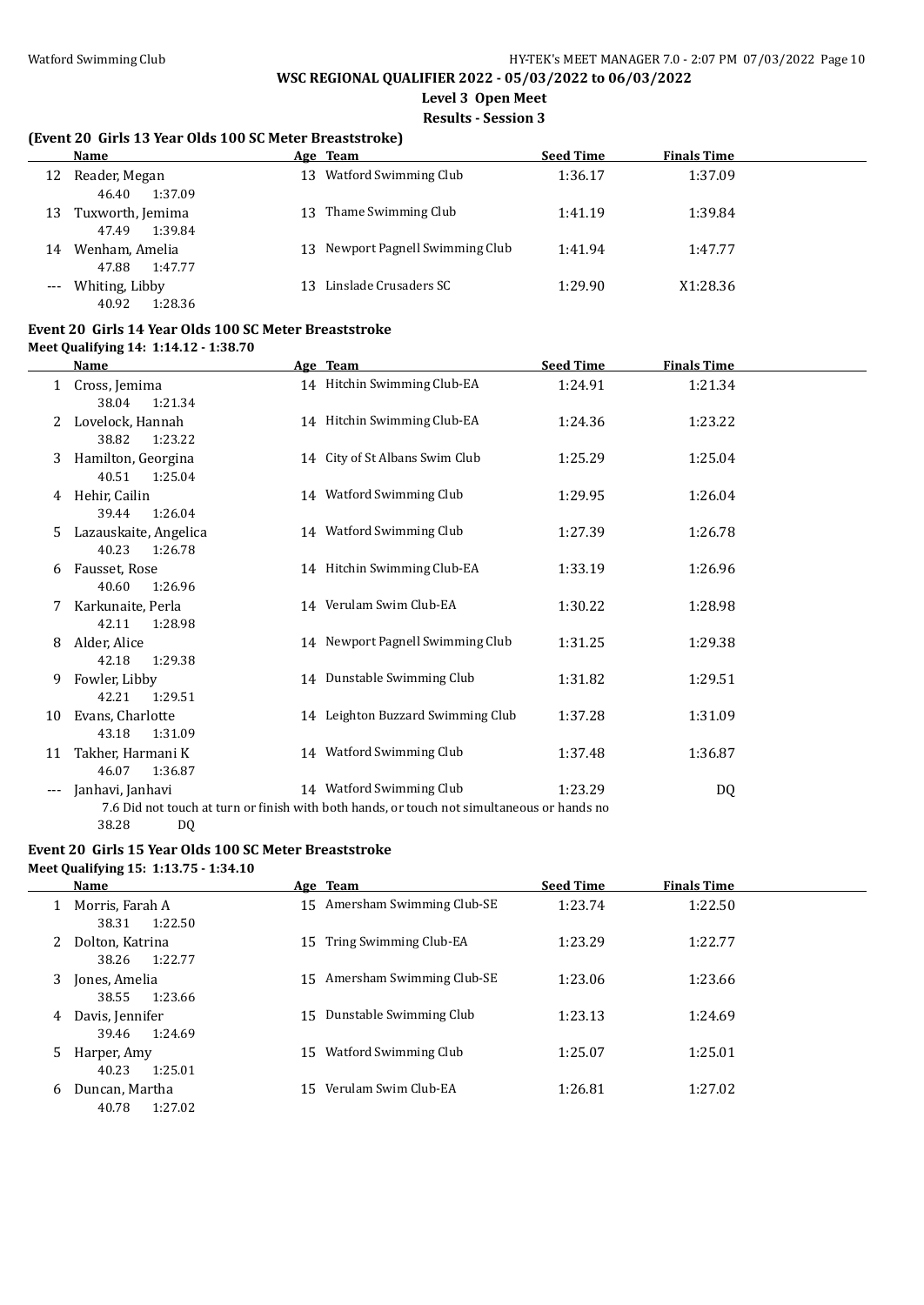**Level 3 Open Meet**

**Results - Session 3**

#### **(Event 20 Girls 13 Year Olds 100 SC Meter Breaststroke)**

|    | Name                                 |     | Age Team                         | <b>Seed Time</b> | <b>Finals Time</b> |  |
|----|--------------------------------------|-----|----------------------------------|------------------|--------------------|--|
| 12 | Reader, Megan<br>46.40<br>1:37.09    | 13  | Watford Swimming Club            | 1:36.17          | 1:37.09            |  |
| 13 | Tuxworth, Jemima<br>1:39.84<br>47.49 | 13. | Thame Swimming Club              | 1:41.19          | 1:39.84            |  |
| 14 | Wenham, Amelia<br>47.88<br>1:47.77   |     | 13 Newport Pagnell Swimming Club | 1:41.94          | 1:47.77            |  |
|    | Whiting, Libby<br>40.92<br>1:28.36   |     | Linslade Crusaders SC            | 1:29.90          | X1:28.36           |  |

#### **Event 20 Girls 14 Year Olds 100 SC Meter Breaststroke Meet Qualifying 14: 1:14.12 - 1:38.70**

|       | Name                                      | Age Team                                                                                                               | <b>Seed Time</b> | <b>Finals Time</b> |  |
|-------|-------------------------------------------|------------------------------------------------------------------------------------------------------------------------|------------------|--------------------|--|
| 1     | Cross, Jemima<br>38.04<br>1:21.34         | 14 Hitchin Swimming Club-EA                                                                                            | 1:24.91          | 1:21.34            |  |
| 2     | Lovelock, Hannah<br>38.82<br>1:23.22      | 14 Hitchin Swimming Club-EA                                                                                            | 1:24.36          | 1:23.22            |  |
| 3     | Hamilton, Georgina<br>40.51<br>1:25.04    | 14 City of St Albans Swim Club                                                                                         | 1:25.29          | 1:25.04            |  |
| 4     | Hehir, Cailin<br>39.44<br>1:26.04         | 14 Watford Swimming Club                                                                                               | 1:29.95          | 1:26.04            |  |
| 5     | Lazauskaite, Angelica<br>40.23<br>1:26.78 | 14 Watford Swimming Club                                                                                               | 1:27.39          | 1:26.78            |  |
| 6     | Fausset, Rose<br>40.60<br>1:26.96         | 14 Hitchin Swimming Club-EA                                                                                            | 1:33.19          | 1:26.96            |  |
|       | Karkunaite. Perla<br>42.11<br>1:28.98     | 14 Verulam Swim Club-EA                                                                                                | 1:30.22          | 1:28.98            |  |
| 8     | Alder, Alice<br>1:29.38<br>42.18          | 14 Newport Pagnell Swimming Club                                                                                       | 1:31.25          | 1:29.38            |  |
| 9     | Fowler, Libby<br>42.21<br>1:29.51         | 14 Dunstable Swimming Club                                                                                             | 1:31.82          | 1:29.51            |  |
| 10    | Evans, Charlotte<br>43.18<br>1:31.09      | 14 Leighton Buzzard Swimming Club                                                                                      | 1:37.28          | 1:31.09            |  |
| 11    | Takher, Harmani K<br>1:36.87<br>46.07     | 14 Watford Swimming Club                                                                                               | 1:37.48          | 1:36.87            |  |
| $---$ | Janhavi, Janhavi<br>38.28<br>DQ           | 14 Watford Swimming Club<br>7.6 Did not touch at turn or finish with both hands, or touch not simultaneous or hands no | 1:23.29          | DQ                 |  |

#### **Event 20 Girls 15 Year Olds 100 SC Meter Breaststroke Meet Qualifying 15: 1:13.75 - 1:34.10**

|    | <b>Name</b>                         |    | Age Team                  | <b>Seed Time</b> | <b>Finals Time</b> |
|----|-------------------------------------|----|---------------------------|------------------|--------------------|
|    | Morris, Farah A<br>1:22.50<br>38.31 | 15 | Amersham Swimming Club-SE | 1:23.74          | 1:22.50            |
| 2  | Dolton, Katrina<br>1:22.77<br>38.26 | 15 | Tring Swimming Club-EA    | 1:23.29          | 1:22.77            |
| 3  | Jones, Amelia<br>1:23.66<br>38.55   | 15 | Amersham Swimming Club-SE | 1:23.06          | 1:23.66            |
| 4  | Davis, Jennifer<br>1:24.69<br>39.46 | 15 | Dunstable Swimming Club   | 1:23.13          | 1:24.69            |
| 5. | Harper, Amy<br>40.23<br>1:25.01     | 15 | Watford Swimming Club     | 1:25.07          | 1:25.01            |
| 6  | Duncan, Martha<br>1:27.02<br>40.78  | 15 | Verulam Swim Club-EA      | 1:26.81          | 1:27.02            |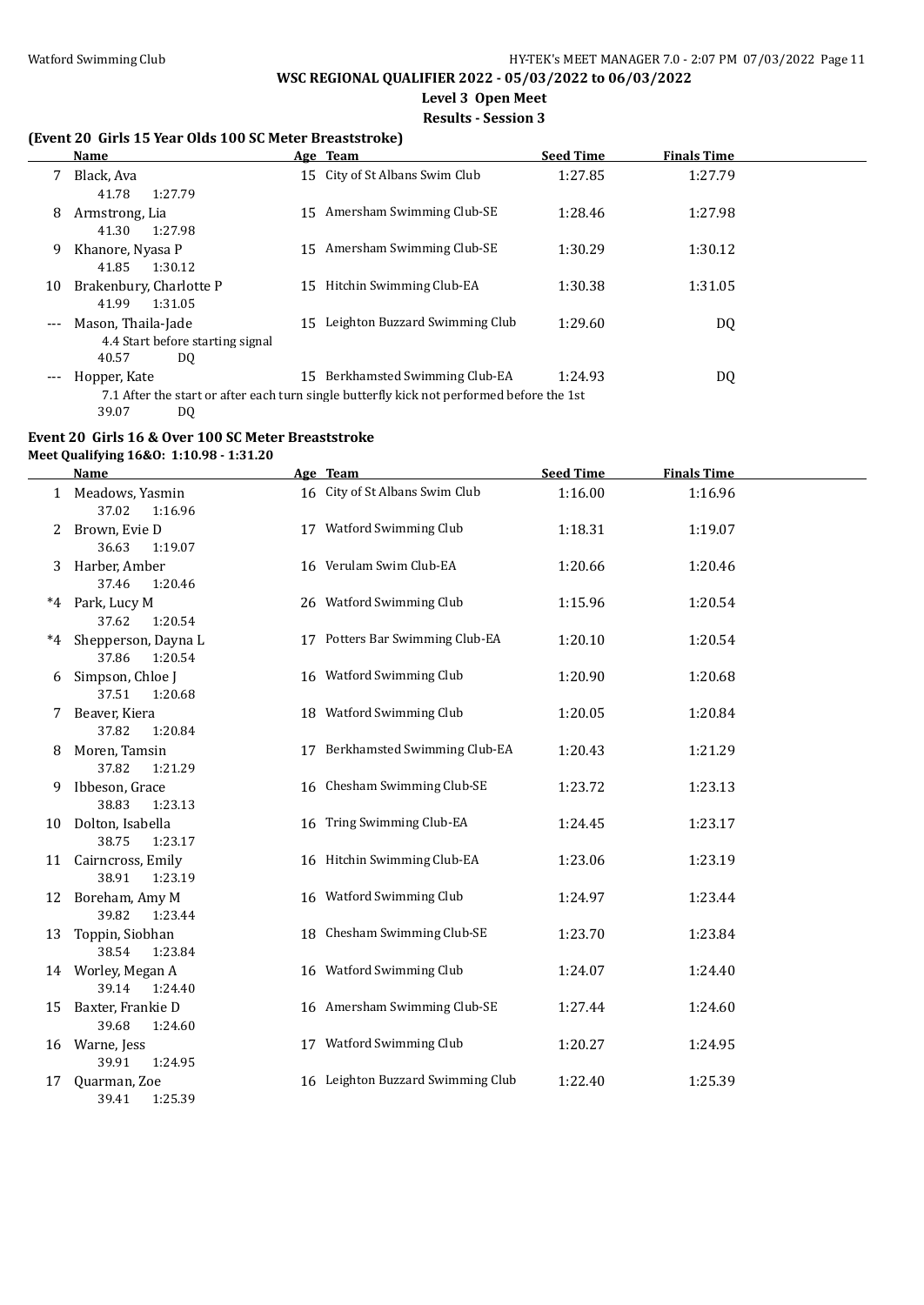# **Level 3 Open Meet**

#### **Results - Session 3**

### **(Event 20 Girls 15 Year Olds 100 SC Meter Breaststroke)**

|       | Name                             |    | Age Team                                                                                  | <b>Seed Time</b> | <b>Finals Time</b> |  |
|-------|----------------------------------|----|-------------------------------------------------------------------------------------------|------------------|--------------------|--|
|       | Black, Ava                       |    | 15 City of St Albans Swim Club                                                            | 1:27.85          | 1:27.79            |  |
|       | 41.78<br>1:27.79                 |    |                                                                                           |                  |                    |  |
| 8     | Armstrong, Lia                   |    | 15 Amersham Swimming Club-SE                                                              | 1:28.46          | 1:27.98            |  |
|       | 41.30<br>1:27.98                 |    |                                                                                           |                  |                    |  |
| 9     | Khanore, Nyasa P                 |    | 15 Amersham Swimming Club-SE                                                              | 1:30.29          | 1:30.12            |  |
|       | 1:30.12<br>41.85                 |    |                                                                                           |                  |                    |  |
| 10    | Brakenbury, Charlotte P          | 15 | Hitchin Swimming Club-EA                                                                  | 1:30.38          | 1:31.05            |  |
|       | 41.99<br>1:31.05                 |    |                                                                                           |                  |                    |  |
| $---$ | Mason, Thaila-Jade               | 15 | Leighton Buzzard Swimming Club                                                            | 1:29.60          | DQ                 |  |
|       | 4.4 Start before starting signal |    |                                                                                           |                  |                    |  |
|       | 40.57<br>DQ                      |    |                                                                                           |                  |                    |  |
| $---$ | Hopper, Kate                     |    | 15 Berkhamsted Swimming Club-EA                                                           | 1:24.93          | DQ                 |  |
|       |                                  |    | 7.1 After the start or after each turn single butterfly kick not performed before the 1st |                  |                    |  |
|       | 39.07<br>DQ                      |    |                                                                                           |                  |                    |  |

# **Event 20 Girls 16 & Over 100 SC Meter Breaststroke**

**Meet Qualifying 16&O: 1:10.98 - 1:31.20**

|    | Name                                       | Age Team                          | <b>Seed Time</b> | <b>Finals Time</b> |
|----|--------------------------------------------|-----------------------------------|------------------|--------------------|
|    | 1 Meadows, Yasmin<br>37.02<br>1:16.96      | 16 City of St Albans Swim Club    | 1:16.00          | 1:16.96            |
|    | 2 Brown, Evie D<br>36.63<br>1:19.07        | 17 Watford Swimming Club          | 1:18.31          | 1:19.07            |
| 3  | Harber, Amber<br>37.46<br>1:20.46          | 16 Verulam Swim Club-EA           | 1:20.66          | 1:20.46            |
|    | *4 Park, Lucy M<br>1:20.54<br>37.62        | 26 Watford Swimming Club          | 1:15.96          | 1:20.54            |
|    | *4 Shepperson, Dayna L<br>37.86<br>1:20.54 | 17 Potters Bar Swimming Club-EA   | 1:20.10          | 1:20.54            |
| 6  | Simpson, Chloe J<br>37.51<br>1:20.68       | 16 Watford Swimming Club          | 1:20.90          | 1:20.68            |
| 7  | Beaver, Kiera<br>37.82<br>1:20.84          | 18 Watford Swimming Club          | 1:20.05          | 1:20.84            |
| 8  | Moren, Tamsin<br>37.82<br>1:21.29          | 17 Berkhamsted Swimming Club-EA   | 1:20.43          | 1:21.29            |
| 9. | Ibbeson, Grace<br>38.83<br>1:23.13         | 16 Chesham Swimming Club-SE       | 1:23.72          | 1:23.13            |
|    | 10 Dolton, Isabella<br>38.75<br>1:23.17    | 16 Tring Swimming Club-EA         | 1:24.45          | 1:23.17            |
|    | 11 Cairncross, Emily<br>38.91<br>1:23.19   | 16 Hitchin Swimming Club-EA       | 1:23.06          | 1:23.19            |
|    | 12 Boreham, Amy M<br>39.82<br>1:23.44      | 16 Watford Swimming Club          | 1:24.97          | 1:23.44            |
|    | 13 Toppin, Siobhan<br>38.54<br>1:23.84     | 18 Chesham Swimming Club-SE       | 1:23.70          | 1:23.84            |
|    | 14 Worley, Megan A<br>39.14<br>1:24.40     | 16 Watford Swimming Club          | 1:24.07          | 1:24.40            |
| 15 | Baxter, Frankie D<br>39.68<br>1:24.60      | 16 Amersham Swimming Club-SE      | 1:27.44          | 1:24.60            |
|    | 16 Warne, Jess<br>39.91<br>1:24.95         | 17 Watford Swimming Club          | 1:20.27          | 1:24.95            |
| 17 | Quarman, Zoe<br>39.41<br>1:25.39           | 16 Leighton Buzzard Swimming Club | 1:22.40          | 1:25.39            |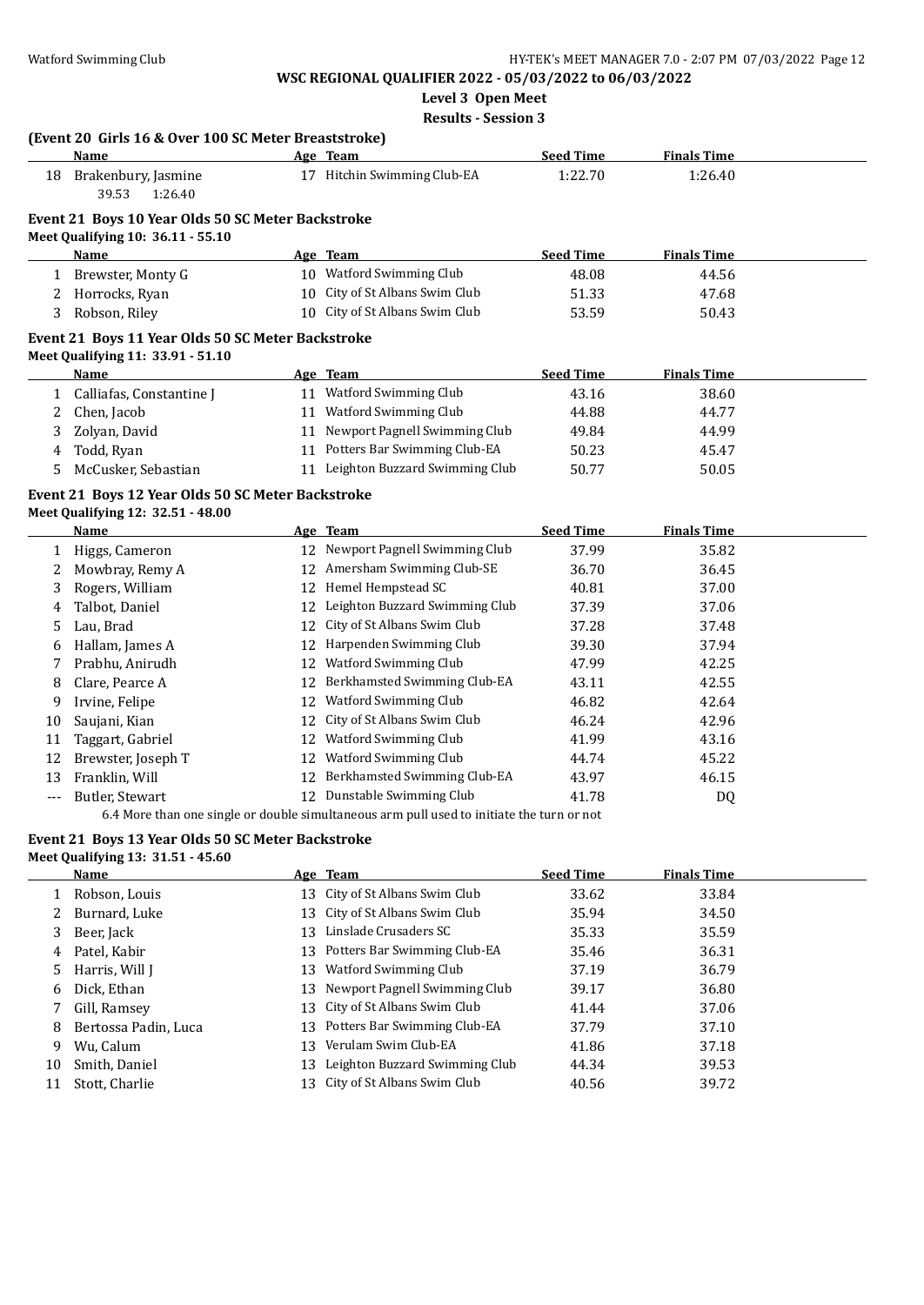**Level 3 Open Meet**

**Results - Session 3**

|              | (Event 20 Girls 16 & Over 100 SC Meter Breaststroke) |    |                                                                                           |                  |                    |  |
|--------------|------------------------------------------------------|----|-------------------------------------------------------------------------------------------|------------------|--------------------|--|
|              | Name                                                 |    | Age Team                                                                                  | <b>Seed Time</b> | <b>Finals Time</b> |  |
| 18           | Brakenbury, Jasmine<br>39.53<br>1:26.40              |    | 17 Hitchin Swimming Club-EA                                                               | 1:22.70          | 1:26.40            |  |
|              | Event 21 Boys 10 Year Olds 50 SC Meter Backstroke    |    |                                                                                           |                  |                    |  |
|              | Meet Qualifying 10: 36.11 - 55.10                    |    |                                                                                           |                  |                    |  |
|              | Name                                                 |    | Age Team                                                                                  | <b>Seed Time</b> | <b>Finals Time</b> |  |
| $\mathbf{1}$ | Brewster, Monty G                                    |    | 10 Watford Swimming Club                                                                  | 48.08            | 44.56              |  |
| 2            | Horrocks, Ryan                                       |    | 10 City of St Albans Swim Club                                                            | 51.33            | 47.68              |  |
| 3            | Robson, Riley                                        |    | 10 City of St Albans Swim Club                                                            | 53.59            | 50.43              |  |
|              | Event 21 Boys 11 Year Olds 50 SC Meter Backstroke    |    |                                                                                           |                  |                    |  |
|              | Meet Qualifying 11: 33.91 - 51.10                    |    |                                                                                           |                  |                    |  |
|              | Name                                                 |    | Age Team                                                                                  | <b>Seed Time</b> | <b>Finals Time</b> |  |
|              | 1 Calliafas, Constantine J                           |    | 11 Watford Swimming Club                                                                  | 43.16            | 38.60              |  |
| 2            | Chen, Jacob                                          |    | 11 Watford Swimming Club                                                                  | 44.88            | 44.77              |  |
| 3            | Zolyan, David                                        |    | 11 Newport Pagnell Swimming Club                                                          | 49.84            | 44.99              |  |
| 4            | Todd, Ryan                                           |    | 11 Potters Bar Swimming Club-EA                                                           | 50.23            | 45.47              |  |
| 5            | McCusker, Sebastian                                  |    | 11 Leighton Buzzard Swimming Club                                                         | 50.77            | 50.05              |  |
|              | Event 21 Boys 12 Year Olds 50 SC Meter Backstroke    |    |                                                                                           |                  |                    |  |
|              | Meet Qualifying 12: 32.51 - 48.00                    |    |                                                                                           |                  |                    |  |
|              | Name                                                 |    | Age Team                                                                                  | <b>Seed Time</b> | <b>Finals Time</b> |  |
|              | 1 Higgs, Cameron                                     |    | 12 Newport Pagnell Swimming Club                                                          | 37.99            | 35.82              |  |
| 2            | Mowbray, Remy A                                      |    | 12 Amersham Swimming Club-SE                                                              | 36.70            | 36.45              |  |
| 3            | Rogers, William                                      |    | 12 Hemel Hempstead SC                                                                     | 40.81            | 37.00              |  |
| 4            | Talbot, Daniel                                       |    | 12 Leighton Buzzard Swimming Club                                                         | 37.39            | 37.06              |  |
| 5            | Lau, Brad                                            |    | 12 City of St Albans Swim Club                                                            | 37.28            | 37.48              |  |
| 6            | Hallam, James A                                      |    | 12 Harpenden Swimming Club                                                                | 39.30            | 37.94              |  |
| 7            | Prabhu, Anirudh                                      |    | 12 Watford Swimming Club                                                                  | 47.99            | 42.25              |  |
| 8            | Clare, Pearce A                                      |    | 12 Berkhamsted Swimming Club-EA                                                           | 43.11            | 42.55              |  |
| 9            | Irvine, Felipe                                       |    | 12 Watford Swimming Club                                                                  | 46.82            | 42.64              |  |
| 10           | Saujani, Kian                                        |    | 12 City of St Albans Swim Club                                                            | 46.24            | 42.96              |  |
| 11           | Taggart, Gabriel                                     |    | 12 Watford Swimming Club                                                                  | 41.99            | 43.16              |  |
| 12           | Brewster, Joseph T                                   |    | 12 Watford Swimming Club                                                                  | 44.74            | 45.22              |  |
| 13           | Franklin, Will                                       |    | 12 Berkhamsted Swimming Club-EA                                                           | 43.97            | 46.15              |  |
| $---$        | Butler, Stewart                                      |    | 12 Dunstable Swimming Club                                                                | 41.78            | <b>DQ</b>          |  |
|              |                                                      |    | 6.4 More than one single or double simultaneous arm pull used to initiate the turn or not |                  |                    |  |
|              | Event 21 Boys 13 Year Olds 50 SC Meter Backstroke    |    |                                                                                           |                  |                    |  |
|              | Meet Qualifying 13: 31.51 - 45.60                    |    |                                                                                           |                  |                    |  |
|              | <b>Name</b>                                          |    | Age Team                                                                                  | <b>Seed Time</b> | <b>Finals Time</b> |  |
| $\mathbf{1}$ | Robson, Louis                                        |    | 13 City of St Albans Swim Club                                                            | 33.62            | 33.84              |  |
| 2            | Burnard, Luke                                        | 13 | City of St Albans Swim Club                                                               | 35.94            | 34.50              |  |
| 3            | Beer, Jack                                           | 13 | Linslade Crusaders SC                                                                     | 35.33            | 35.59              |  |
| 4            | Patel, Kabir                                         | 13 | Potters Bar Swimming Club-EA                                                              | 35.46            | 36.31              |  |
| 5            | Harris, Will J                                       | 13 | <b>Watford Swimming Club</b>                                                              | 37.19            | 36.79              |  |
| 6            | Dick, Ethan                                          | 13 | Newport Pagnell Swimming Club                                                             | 39.17            | 36.80              |  |
| 7            | Gill, Ramsey                                         | 13 | City of St Albans Swim Club                                                               | 41.44            | 37.06              |  |
| 8            | Bertossa Padin, Luca                                 | 13 | Potters Bar Swimming Club-EA                                                              | 37.79            | 37.10              |  |
| 9            | Wu, Calum                                            | 13 | Verulam Swim Club-EA                                                                      | 41.86            | 37.18              |  |
| 10           | Smith, Daniel                                        | 13 | Leighton Buzzard Swimming Club                                                            | 44.34            | 39.53              |  |
| 11           | Stott, Charlie                                       |    | 13 City of St Albans Swim Club                                                            | 40.56            | 39.72              |  |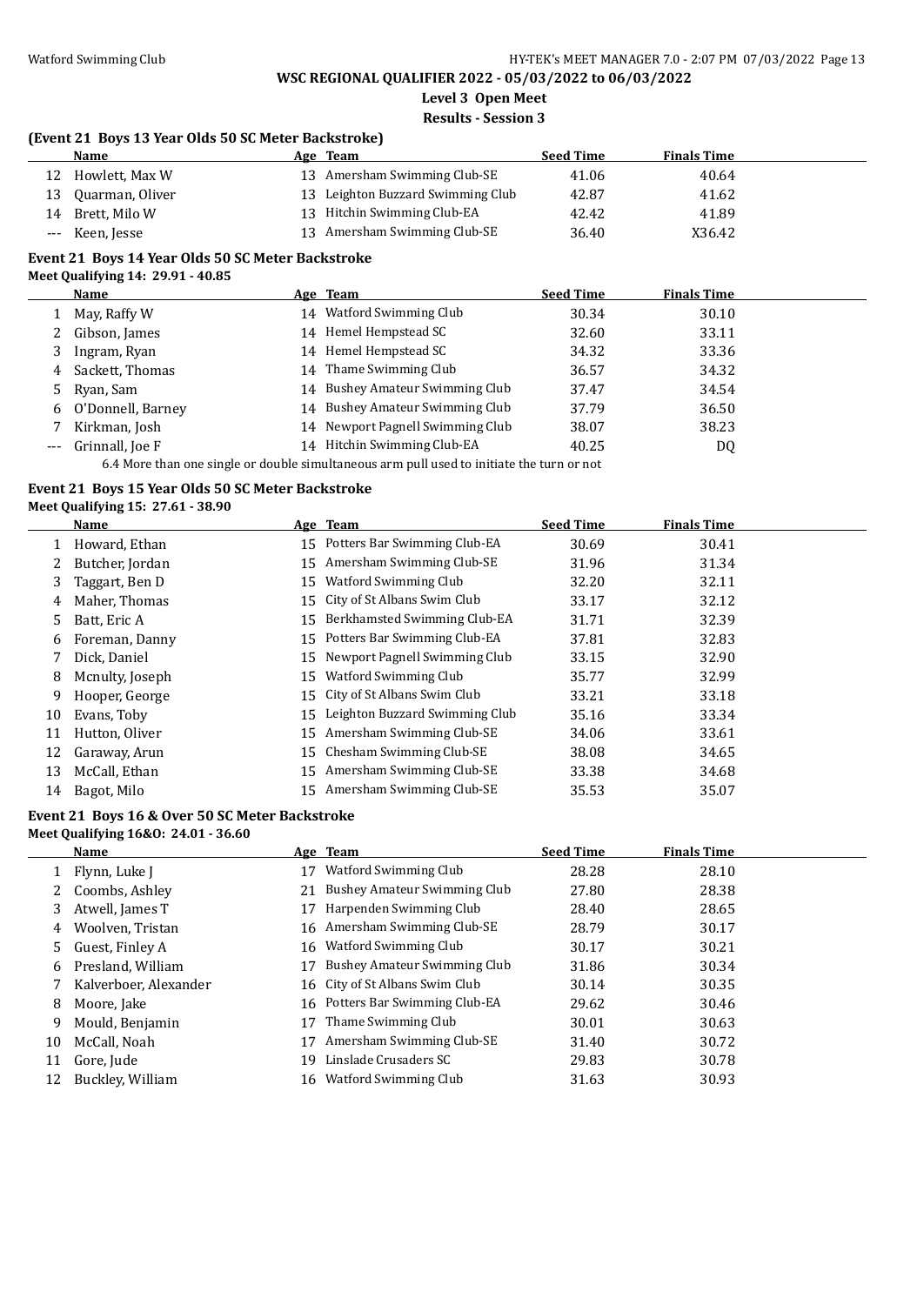**Level 3 Open Meet**

#### **Results - Session 3**

#### **(Event 21 Boys 13 Year Olds 50 SC Meter Backstroke)**

| Name               | Age | <b>Team</b>                       | <b>Seed Time</b> | <b>Finals Time</b> |  |
|--------------------|-----|-----------------------------------|------------------|--------------------|--|
| 12 Howlett, Max W  |     | 13 Amersham Swimming Club-SE      | 41.06            | 40.64              |  |
| 13 Ouarman, Oliver |     | 13 Leighton Buzzard Swimming Club | 42.87            | 41.62              |  |
| 14 Brett, Milo W   |     | 13 Hitchin Swimming Club-EA       | 42.42            | 41.89              |  |
| Keen, Jesse        |     | 13 Amersham Swimming Club-SE      | 36.40            | X36.42             |  |

#### **Event 21 Boys 14 Year Olds 50 SC Meter Backstroke Meet Qualifying 14: 29.91 - 40.85**

|       | Name              |    | Age Team                         | <b>Seed Time</b> | <b>Finals Time</b> |
|-------|-------------------|----|----------------------------------|------------------|--------------------|
|       | May, Raffy W      | 14 | Watford Swimming Club            | 30.34            | 30.10              |
|       | 2 Gibson, James   |    | 14 Hemel Hempstead SC            | 32.60            | 33.11              |
| 3     | Ingram, Ryan      |    | 14 Hemel Hempstead SC            | 34.32            | 33.36              |
| 4     | Sackett, Thomas   |    | 14 Thame Swimming Club           | 36.57            | 34.32              |
| 5     | Ryan, Sam         |    | 14 Bushey Amateur Swimming Club  | 37.47            | 34.54              |
| 6     | O'Donnell, Barney |    | 14 Bushey Amateur Swimming Club  | 37.79            | 36.50              |
|       | Kirkman, Josh     |    | 14 Newport Pagnell Swimming Club | 38.07            | 38.23              |
| $---$ | Grinnall, Joe F   |    | 14 Hitchin Swimming Club-EA      | 40.25            | DQ                 |

6.4 More than one single or double simultaneous arm pull used to initiate the turn or not

#### **Event 21 Boys 15 Year Olds 50 SC Meter Backstroke**

#### **Meet Qualifying 15: 27.61 - 38.90**

|    | <b>Name</b>     |    | Age Team                        | <b>Seed Time</b> | <b>Finals Time</b> |
|----|-----------------|----|---------------------------------|------------------|--------------------|
|    | Howard, Ethan   |    | 15 Potters Bar Swimming Club-EA | 30.69            | 30.41              |
| 2  | Butcher, Jordan | 15 | Amersham Swimming Club-SE       | 31.96            | 31.34              |
| 3  | Taggart, Ben D  | 15 | Watford Swimming Club           | 32.20            | 32.11              |
| 4  | Maher, Thomas   | 15 | City of St Albans Swim Club     | 33.17            | 32.12              |
| 5  | Batt, Eric A    | 15 | Berkhamsted Swimming Club-EA    | 31.71            | 32.39              |
| 6  | Foreman, Danny  | 15 | Potters Bar Swimming Club-EA    | 37.81            | 32.83              |
|    | Dick, Daniel    | 15 | Newport Pagnell Swimming Club   | 33.15            | 32.90              |
| 8  | Mcnulty, Joseph | 15 | Watford Swimming Club           | 35.77            | 32.99              |
| 9  | Hooper, George  |    | 15 City of St Albans Swim Club  | 33.21            | 33.18              |
| 10 | Evans, Toby     | 15 | Leighton Buzzard Swimming Club  | 35.16            | 33.34              |
| 11 | Hutton, Oliver  | 15 | Amersham Swimming Club-SE       | 34.06            | 33.61              |
| 12 | Garaway, Arun   | 15 | Chesham Swimming Club-SE        | 38.08            | 34.65              |
| 13 | McCall, Ethan   | 15 | Amersham Swimming Club-SE       | 33.38            | 34.68              |
| 14 | Bagot, Milo     |    | 15 Amersham Swimming Club-SE    | 35.53            | 35.07              |

### **Event 21 Boys 16 & Over 50 SC Meter Backstroke**

#### **Meet Qualifying 16&O: 24.01 - 36.60**

|    | Name                  |    | Age Team                       | <b>Seed Time</b> | <b>Finals Time</b> |  |
|----|-----------------------|----|--------------------------------|------------------|--------------------|--|
|    | Flynn, Luke I         | 17 | Watford Swimming Club          | 28.28            | 28.10              |  |
|    | 2 Coombs, Ashley      | 21 | Bushey Amateur Swimming Club   | 27.80            | 28.38              |  |
| 3  | Atwell, James T       | 17 | Harpenden Swimming Club        | 28.40            | 28.65              |  |
| 4  | Woolven. Tristan      |    | 16 Amersham Swimming Club-SE   | 28.79            | 30.17              |  |
| 5. | Guest, Finley A       | 16 | Watford Swimming Club          | 30.17            | 30.21              |  |
| 6  | Presland, William     | 17 | Bushey Amateur Swimming Club   | 31.86            | 30.34              |  |
|    | Kalverboer, Alexander |    | 16 City of St Albans Swim Club | 30.14            | 30.35              |  |
| 8  | Moore, Jake           | 16 | Potters Bar Swimming Club-EA   | 29.62            | 30.46              |  |
| 9  | Mould, Benjamin       | 17 | Thame Swimming Club            | 30.01            | 30.63              |  |
| 10 | McCall, Noah          | 17 | Amersham Swimming Club-SE      | 31.40            | 30.72              |  |
| 11 | Gore, Jude            | 19 | Linslade Crusaders SC          | 29.83            | 30.78              |  |
| 12 | Buckley, William      | 16 | Watford Swimming Club          | 31.63            | 30.93              |  |
|    |                       |    |                                |                  |                    |  |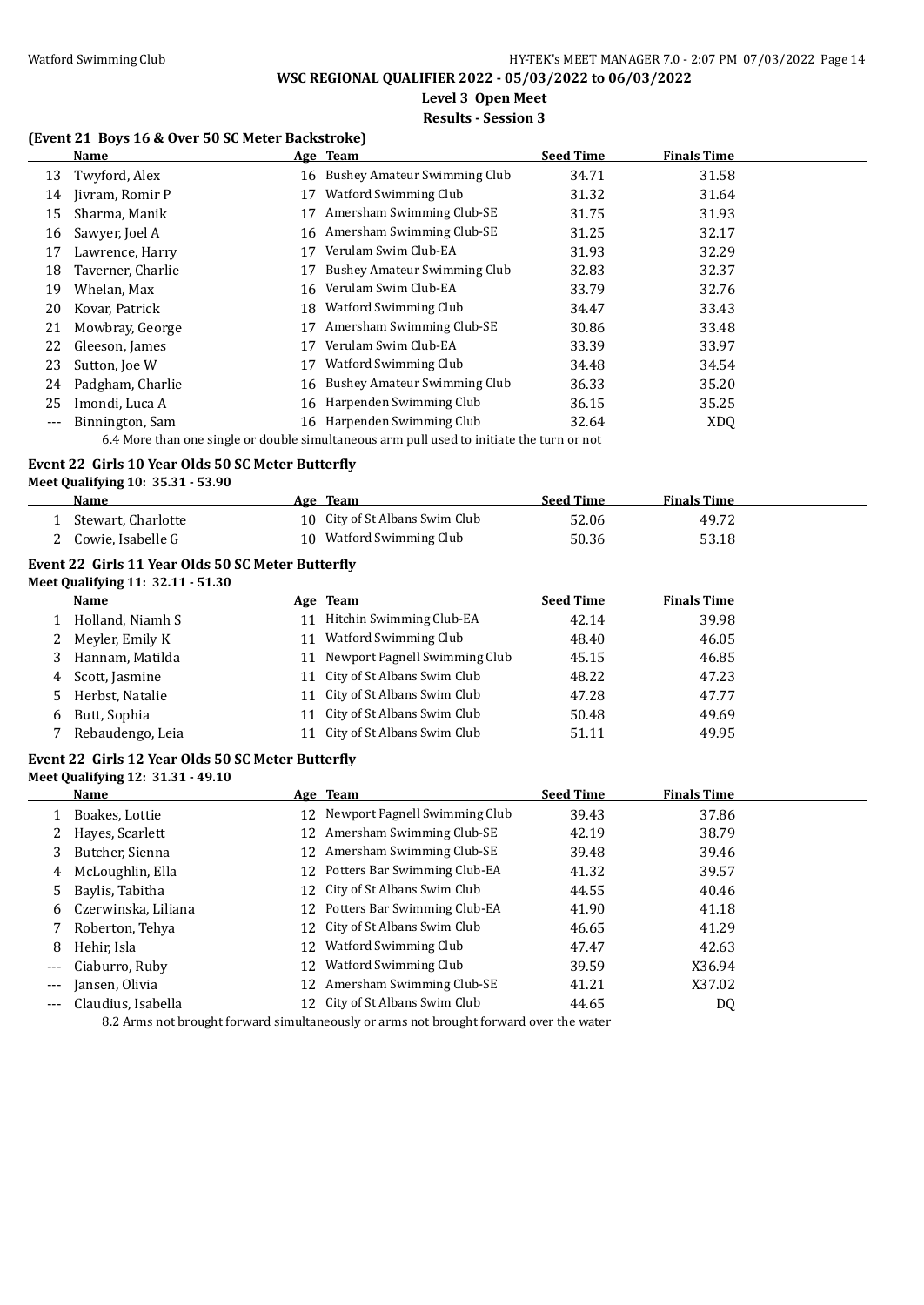**Level 3 Open Meet**

#### **Results - Session 3**

#### **(Event 21 Boys 16 & Over 50 SC Meter Backstroke)**

|       | Name                                                                                                         |    | Age Team                     | <b>Seed Time</b> | <b>Finals Time</b> |  |  |
|-------|--------------------------------------------------------------------------------------------------------------|----|------------------------------|------------------|--------------------|--|--|
| 13    | Twyford, Alex                                                                                                | 16 | Bushey Amateur Swimming Club | 34.71            | 31.58              |  |  |
| 14    | Jivram, Romir P                                                                                              | 17 | Watford Swimming Club        | 31.32            | 31.64              |  |  |
| 15    | Sharma, Manik                                                                                                | 17 | Amersham Swimming Club-SE    | 31.75            | 31.93              |  |  |
| 16    | Sawyer, Joel A                                                                                               | 16 | Amersham Swimming Club-SE    | 31.25            | 32.17              |  |  |
| 17    | Lawrence, Harry                                                                                              | 17 | Verulam Swim Club-EA         | 31.93            | 32.29              |  |  |
| 18    | Taverner, Charlie                                                                                            | 17 | Bushey Amateur Swimming Club | 32.83            | 32.37              |  |  |
| 19    | Whelan, Max                                                                                                  | 16 | Verulam Swim Club-EA         | 33.79            | 32.76              |  |  |
| 20    | Kovar, Patrick                                                                                               | 18 | <b>Watford Swimming Club</b> | 34.47            | 33.43              |  |  |
| 21    | Mowbray, George                                                                                              | 17 | Amersham Swimming Club-SE    | 30.86            | 33.48              |  |  |
| 22    | Gleeson, James                                                                                               | 17 | Verulam Swim Club-EA         | 33.39            | 33.97              |  |  |
| 23    | Sutton, Joe W                                                                                                | 17 | <b>Watford Swimming Club</b> | 34.48            | 34.54              |  |  |
| 24    | Padgham, Charlie                                                                                             | 16 | Bushey Amateur Swimming Club | 36.33            | 35.20              |  |  |
| 25    | Imondi, Luca A                                                                                               | 16 | Harpenden Swimming Club      | 36.15            | 35.25              |  |  |
| $---$ | Binnington, Sam                                                                                              |    | 16 Harpenden Swimming Club   | 32.64            | <b>XDQ</b>         |  |  |
|       | 7. A Marrie Alarm and affinite and architecture (Alarm and architecture at the field alarm and announced and |    |                              |                  |                    |  |  |

6.4 More than one single or double simultaneous arm pull used to initiate the turn or not

#### **Event 22 Girls 10 Year Olds 50 SC Meter Butterfly**

**Meet Qualifying 10: 35.31 - 53.90**

| Name               | Team<br>Age                    | <b>Seed Time</b> | <b>Finals Time</b> |  |
|--------------------|--------------------------------|------------------|--------------------|--|
| Stewart, Charlotte | 10 City of St Albans Swim Club | 52.06            | 49.72              |  |
| Cowie, Isabelle G  | 10 Watford Swimming Club       | 50.36            | 53.18              |  |

#### **Event 22 Girls 11 Year Olds 50 SC Meter Butterfly Meet Qualifying 11: 32.11 - 51.30**

|    | Name             | Age Team                       | <b>Seed Time</b> | <b>Finals Time</b> |
|----|------------------|--------------------------------|------------------|--------------------|
|    | Holland, Niamh S | Hitchin Swimming Club-EA       | 42.14            | 39.98              |
|    | Meyler, Emily K  | Watford Swimming Club          | 48.40            | 46.05              |
| 3  | Hannam, Matilda  | Newport Pagnell Swimming Club  | 45.15            | 46.85              |
| 4  | Scott, Jasmine   | 11 City of St Albans Swim Club | 48.22            | 47.23              |
| 5. | Herbst, Natalie  | 11 City of St Albans Swim Club | 47.28            | 47.77              |
| 6  | Butt, Sophia     | 11 City of St Albans Swim Club | 50.48            | 49.69              |
|    | Rebaudengo, Leia | City of St Albans Swim Club    | 51.11            | 49.95              |

#### **Event 22 Girls 12 Year Olds 50 SC Meter Butterfly Meet Qualifying 12: 31.31 - 49.10**

|     | <b>Name</b>         |    | Age Team                         | <b>Seed Time</b> | <b>Finals Time</b> |  |
|-----|---------------------|----|----------------------------------|------------------|--------------------|--|
|     | Boakes, Lottie      |    | 12 Newport Pagnell Swimming Club | 39.43            | 37.86              |  |
|     | Hayes, Scarlett     |    | 12 Amersham Swimming Club-SE     | 42.19            | 38.79              |  |
| 3   | Butcher, Sienna     | 12 | Amersham Swimming Club-SE        | 39.48            | 39.46              |  |
| 4   | McLoughlin, Ella    |    | 12 Potters Bar Swimming Club-EA  | 41.32            | 39.57              |  |
| 5.  | Baylis, Tabitha     |    | 12 City of St Albans Swim Club   | 44.55            | 40.46              |  |
| 6   | Czerwinska, Liliana |    | 12 Potters Bar Swimming Club-EA  | 41.90            | 41.18              |  |
|     | Roberton, Tehya     |    | 12 City of St Albans Swim Club   | 46.65            | 41.29              |  |
| 8   | Hehir, Isla         | 12 | Watford Swimming Club            | 47.47            | 42.63              |  |
| --- | Ciaburro, Ruby      |    | 12 Watford Swimming Club         | 39.59            | X36.94             |  |
| --- | Jansen, Olivia      |    | 12 Amersham Swimming Club-SE     | 41.21            | X37.02             |  |
| --- | Claudius, Isabella  |    | 12 City of St Albans Swim Club   | 44.65            | DQ                 |  |
|     |                     |    |                                  |                  |                    |  |

8.2 Arms not brought forward simultaneously or arms not brought forward over the water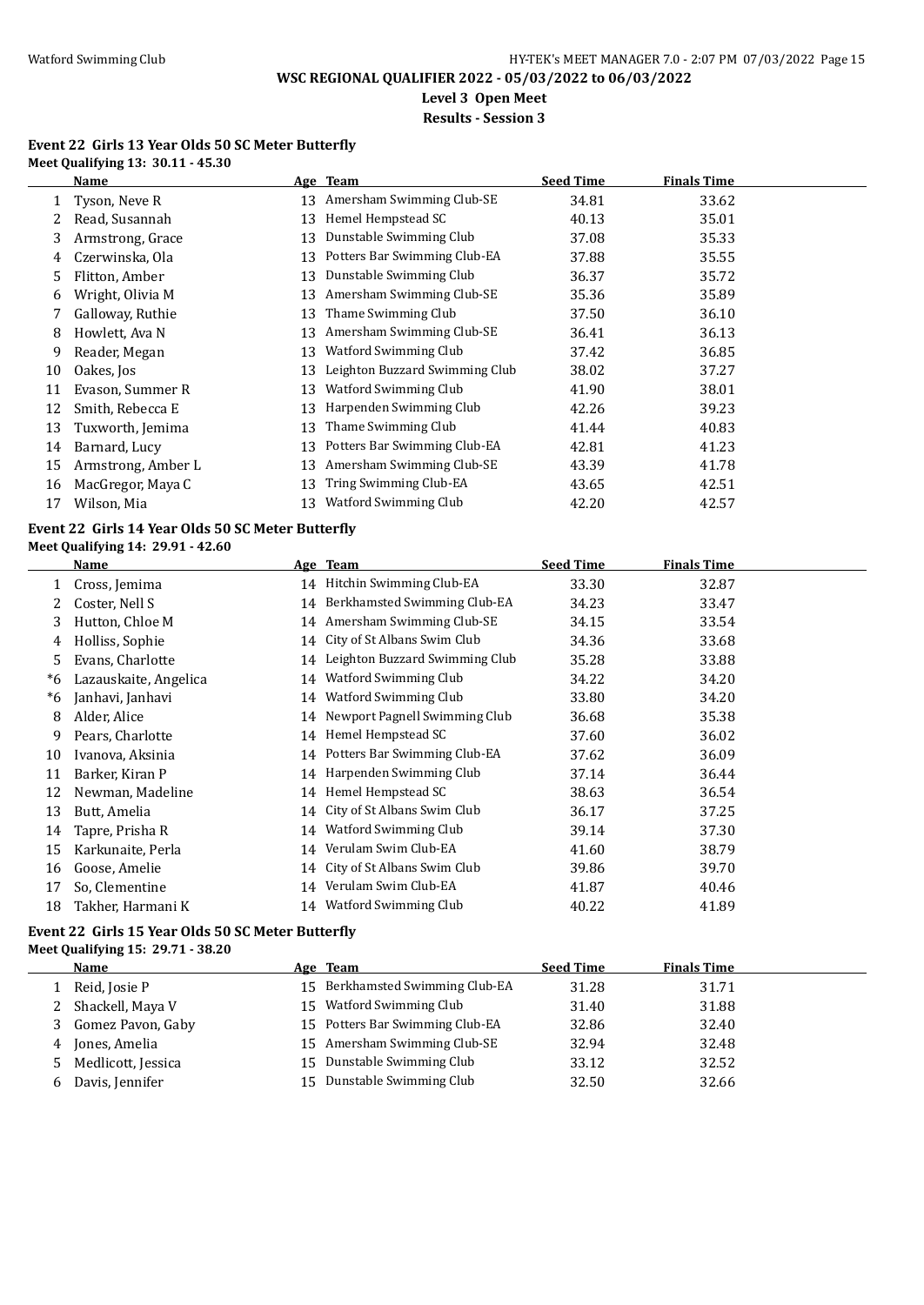**Level 3 Open Meet**

### **Results - Session 3**

#### **Event 22 Girls 13 Year Olds 50 SC Meter Butterfly Meet Qualifying 13: 30.11 - 45.30**

|      | <b>Name</b>                                       |          | Age Team                        | <b>Seed Time</b> | <b>Finals Time</b> |  |
|------|---------------------------------------------------|----------|---------------------------------|------------------|--------------------|--|
| 1    | Tyson, Neve R                                     |          | 13 Amersham Swimming Club-SE    | 34.81            | 33.62              |  |
| 2    | Read, Susannah                                    |          | 13 Hemel Hempstead SC           | 40.13            | 35.01              |  |
| 3    | Armstrong, Grace                                  |          | 13 Dunstable Swimming Club      | 37.08            | 35.33              |  |
| 4    | Czerwinska, Ola                                   |          | 13 Potters Bar Swimming Club-EA | 37.88            | 35.55              |  |
| 5    | Flitton, Amber                                    |          | 13 Dunstable Swimming Club      | 36.37            | 35.72              |  |
| 6    | Wright, Olivia M                                  | 13       | Amersham Swimming Club-SE       | 35.36            | 35.89              |  |
| 7    | Galloway, Ruthie                                  | 13       | Thame Swimming Club             | 37.50            | 36.10              |  |
| 8    | Howlett, Ava N                                    | 13       | Amersham Swimming Club-SE       | 36.41            | 36.13              |  |
| 9    | Reader, Megan                                     | 13       | Watford Swimming Club           | 37.42            | 36.85              |  |
| 10   | Oakes, Jos                                        | 13       | Leighton Buzzard Swimming Club  | 38.02            | 37.27              |  |
| 11   | Evason, Summer R                                  | 13       | Watford Swimming Club           | 41.90            | 38.01              |  |
| 12   | Smith, Rebecca E                                  | 13       | Harpenden Swimming Club         | 42.26            | 39.23              |  |
| 13   | Tuxworth, Jemima                                  | 13       | Thame Swimming Club             | 41.44            | 40.83              |  |
| 14   | Barnard, Lucy                                     | 13       | Potters Bar Swimming Club-EA    | 42.81            | 41.23              |  |
| 15   | Armstrong, Amber L                                |          | 13 Amersham Swimming Club-SE    | 43.39            | 41.78              |  |
| 16   | MacGregor, Maya C                                 | 13       | Tring Swimming Club-EA          | 43.65            | 42.51              |  |
| 17   | Wilson, Mia                                       |          | 13 Watford Swimming Club        | 42.20            | 42.57              |  |
|      | Event 22 Girls 14 Year Olds 50 SC Meter Butterfly |          |                                 |                  |                    |  |
|      | Meet Qualifying 14: 29.91 - 42.60<br>Name         |          | Age Team                        | <b>Seed Time</b> | <b>Finals Time</b> |  |
| 1    | Cross, Jemima                                     |          | 14 Hitchin Swimming Club-EA     | 33.30            | 32.87              |  |
| 2    | Coster, Nell S                                    |          | 14 Berkhamsted Swimming Club-EA | 34.23            | 33.47              |  |
| 3    | Hutton, Chloe M                                   |          | 14 Amersham Swimming Club-SE    | 34.15            | 33.54              |  |
| 4    | Holliss, Sophie                                   | 14       | City of St Albans Swim Club     | 34.36            | 33.68              |  |
| 5    | Evans, Charlotte                                  | 14       | Leighton Buzzard Swimming Club  | 35.28            | 33.88              |  |
| $*6$ | Lazauskaite, Angelica                             | 14       | Watford Swimming Club           | 34.22            | 34.20              |  |
| *6   | Janhavi, Janhavi                                  | 14       | Watford Swimming Club           | 33.80            | 34.20              |  |
| 8    | Alder, Alice                                      | 14       | Newport Pagnell Swimming Club   | 36.68            | 35.38              |  |
| 9    | Pears, Charlotte                                  | 14       | Hemel Hempstead SC              | 37.60            | 36.02              |  |
| 10   | Ivanova, Aksinia                                  | 14       | Potters Bar Swimming Club-EA    | 37.62            | 36.09              |  |
| 11   | Barker, Kiran P                                   | 14       | Harpenden Swimming Club         | 37.14            | 36.44              |  |
| 12   | Newman, Madeline                                  | 14       | Hemel Hempstead SC              | 38.63            | 36.54              |  |
| 13   | Butt, Amelia                                      | 14       | City of St Albans Swim Club     | 36.17            | 37.25              |  |
| 14   | Tapre, Prisha R                                   |          | 14 Watford Swimming Club        | 39.14            | 37.30              |  |
| 15   | Karkunaite, Perla                                 |          | Verulam Swim Club-EA            | 41.60            | 38.79              |  |
| 16   | Goose, Amelie                                     | 14       | City of St Albans Swim Club     | 39.86            | 39.70              |  |
| 17   | So, Clementine                                    | 14<br>14 | Verulam Swim Club-EA            | 41.87            | 40.46              |  |
|      |                                                   |          |                                 |                  |                    |  |
| 18   | Takher, Harmani K                                 |          | 14 Watford Swimming Club        | 40.22            | 41.89              |  |

#### **Event 22 Girls 15 Year Olds 50 SC Meter Butterfly Meet Qualifying 15: 29.71 - 38.20**

|   | <b>Name</b>        |     | Age Team                        | <b>Seed Time</b> | <b>Finals Time</b> |
|---|--------------------|-----|---------------------------------|------------------|--------------------|
|   | Reid, Josie P      |     | 15 Berkhamsted Swimming Club-EA | 31.28            | 31.71              |
|   | 2 Shackell, Maya V | 15  | Watford Swimming Club           | 31.40            | 31.88              |
|   | Gomez Pavon, Gaby  |     | 15 Potters Bar Swimming Club-EA | 32.86            | 32.40              |
| 4 | Jones, Amelia      | 15  | Amersham Swimming Club-SE       | 32.94            | 32.48              |
|   | Medlicott, Jessica | 15. | Dunstable Swimming Club         | 33.12            | 32.52              |
| b | Davis, Jennifer    | 15  | Dunstable Swimming Club         | 32.50            | 32.66              |